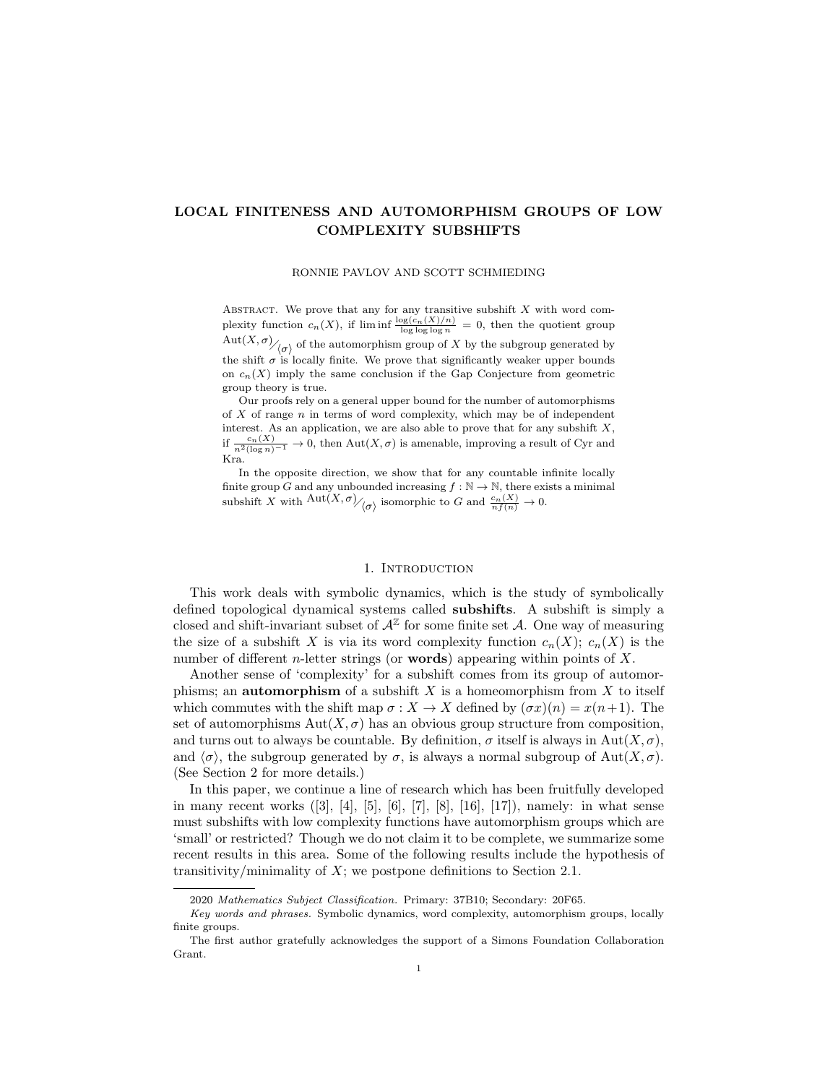## LOCAL FINITENESS AND AUTOMORPHISM GROUPS OF LOW COMPLEXITY SUBSHIFTS

RONNIE PAVLOV AND SCOTT SCHMIEDING

ABSTRACT. We prove that any for any transitive subshift  $X$  with word complexity function  $c_n(X)$ , if  $\liminf \frac{\log(c_n(X)/n)}{\log \log \log n} = 0$ , then the quotient group  $\mathrm{Aut}(X,\sigma)_{\bigg/\bigg(\sigma\bigg)}$  of the automorphism group of X by the subgroup generated by the shift  $\sigma$  is locally finite. We prove that significantly weaker upper bounds on  $c_n(X)$  imply the same conclusion if the Gap Conjecture from geometric group theory is true.

Our proofs rely on a general upper bound for the number of automorphisms of  $X$  of range  $n$  in terms of word complexity, which may be of independent interest. As an application, we are also able to prove that for any subshift  $X$ , if  $\frac{c_n(X)}{n^2(\log n)^{-1}} \to 0$ , then  $\text{Aut}(X,\sigma)$  is amenable, improving a result of Cyr and Kra.

In the opposite direction, we show that for any countable infinite locally finite group G and any unbounded increasing  $f : \mathbb{N} \to \mathbb{N}$ , there exists a minimal subshift X with  $\frac{\text{Aut}(X,\sigma)}{\sim}$  isomorphic to G and  $\frac{c_n(X)}{nf(n)} \to 0$ .

### 1. INTRODUCTION

This work deals with symbolic dynamics, which is the study of symbolically defined topological dynamical systems called subshifts. A subshift is simply a closed and shift-invariant subset of  $\mathcal{A}^{\mathbb{Z}}$  for some finite set A. One way of measuring the size of a subshift X is via its word complexity function  $c_n(X)$ ;  $c_n(X)$  is the number of different *n*-letter strings (or **words**) appearing within points of  $X$ .

Another sense of 'complexity' for a subshift comes from its group of automorphisms; an **automorphism** of a subshift  $X$  is a homeomorphism from  $X$  to itself which commutes with the shift map  $\sigma : X \to X$  defined by  $(\sigma x)(n) = x(n+1)$ . The set of automorphisms  $Aut(X, \sigma)$  has an obvious group structure from composition, and turns out to always be countable. By definition,  $\sigma$  itself is always in Aut $(X, \sigma)$ , and  $\langle \sigma \rangle$ , the subgroup generated by  $\sigma$ , is always a normal subgroup of Aut $(X, \sigma)$ . (See Section 2 for more details.)

In this paper, we continue a line of research which has been fruitfully developed in many recent works ([3], [4], [5], [6], [7], [8], [16], [17]), namely: in what sense must subshifts with low complexity functions have automorphism groups which are 'small' or restricted? Though we do not claim it to be complete, we summarize some recent results in this area. Some of the following results include the hypothesis of transitivity/minimality of  $X$ ; we postpone definitions to Section 2.1.

<sup>2020</sup> Mathematics Subject Classification. Primary: 37B10; Secondary: 20F65.

Key words and phrases. Symbolic dynamics, word complexity, automorphism groups, locally finite groups.

The first author gratefully acknowledges the support of a Simons Foundation Collaboration Grant.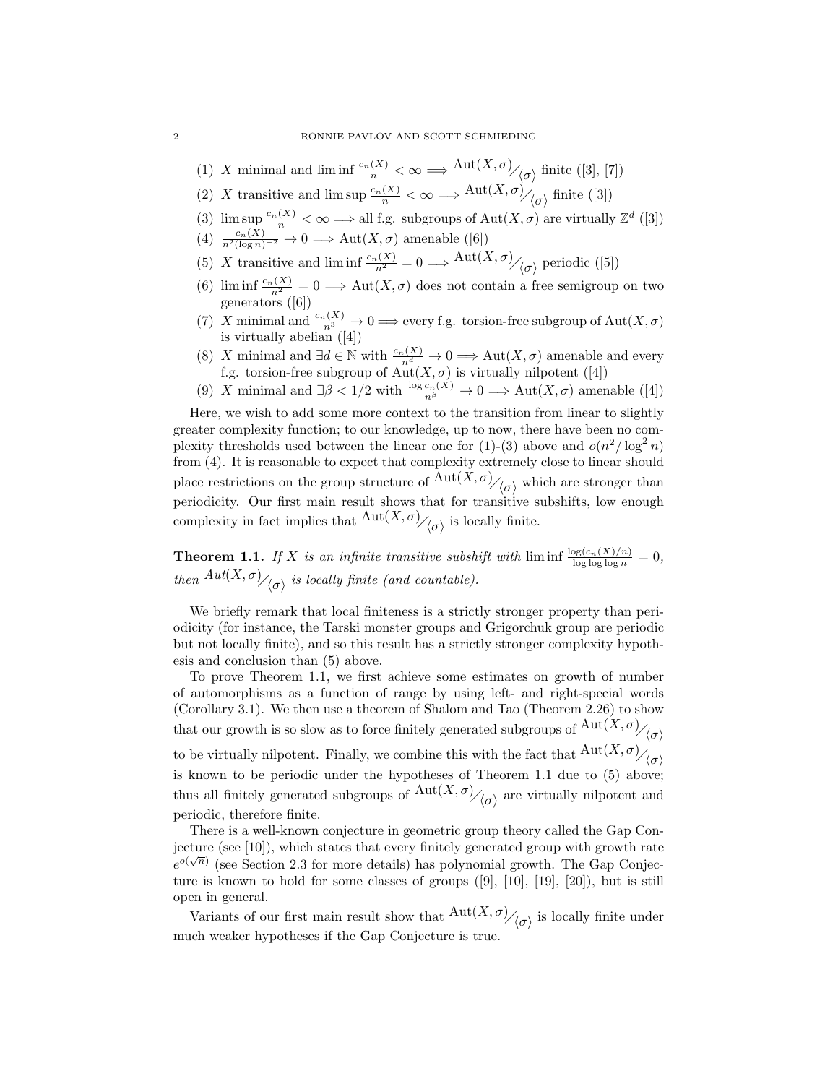- (1) X minimal and  $\liminf \frac{c_n(X)}{n} < \infty \Longrightarrow \text{Aut}(X,\sigma)_{\text{in}}$  finite ([3], [7])
- (2) X transitive and  $\limsup \frac{c_n(X)}{n} < \infty \Longrightarrow \frac{\text{Aut}(X,\sigma)}{\langle \sigma \rangle}$  finite ([3])
- (3)  $\limsup \frac{c_n(X)}{n} < \infty \Longrightarrow$  all f.g. subgroups of  $\text{Aut}(X, \sigma)$  are virtually  $\mathbb{Z}^d$  ([3])
- (4)  $\frac{c_n(X)}{n^2(\log n)^{-2}} \to 0 \Longrightarrow \text{Aut}(X,\sigma)$  amenable ([6])
- (5) X transitive and  $\liminf_{n \to \infty} \frac{c_n(X)}{n^2} = 0 \Longrightarrow \frac{\text{Aut}(X, \sigma)}{\sigma}$  periodic ([5])
- (6) lim inf  $\frac{c_n(X)}{n^2} = 0 \Longrightarrow \text{Aut}(X,\sigma)$  does not contain a free semigroup on two generators ([6])
- (7) X minimal and  $\frac{c_n(X)}{n^3} \to 0 \Longrightarrow$  every f.g. torsion-free subgroup of  $\text{Aut}(X,\sigma)$ is virtually abelian ([4])
- (8) X minimal and  $\exists d \in \mathbb{N}$  with  $\frac{c_n(X)}{n^d} \to 0 \Longrightarrow$  Aut $(X, \sigma)$  amenable and every f.g. torsion-free subgroup of  $Aut(X, \sigma)$  is virtually nilpotent ([4])
- (9) X minimal and  $\exists \beta < 1/2$  with  $\frac{\log c_n(X)}{n^{\beta}} \to 0 \implies \text{Aut}(X,\sigma)$  amenable ([4])

Here, we wish to add some more context to the transition from linear to slightly greater complexity function; to our knowledge, up to now, there have been no complexity thresholds used between the linear one for (1)-(3) above and  $o(n^2/\log^2 n)$ from (4). It is reasonable to expect that complexity extremely close to linear should place restrictions on the group structure of  $\frac{\text{Aut}(X,\sigma)}{\langle \sigma \rangle}$  which are stronger than periodicity. Our first main result shows that for transitive subshifts, low enough complexity in fact implies that  ${\rm Aut}(X,\sigma)_{\big/ \langle \sigma \rangle}$  is locally finite.

**Theorem 1.1.** If X is an infinite transitive subshift with  $\liminf_{\log \log \log n} \frac{\log(c_n(X)/n)}{\log \log \log n} = 0$ , then  $Aut(X, \sigma)_{\bigwedge(\sigma)}$  is locally finite (and countable).

We briefly remark that local finiteness is a strictly stronger property than periodicity (for instance, the Tarski monster groups and Grigorchuk group are periodic but not locally finite), and so this result has a strictly stronger complexity hypothesis and conclusion than (5) above.

To prove Theorem 1.1, we first achieve some estimates on growth of number of automorphisms as a function of range by using left- and right-special words (Corollary 3.1). We then use a theorem of Shalom and Tao (Theorem 2.26) to show that our growth is so slow as to force finitely generated subgroups of  $Aut(X, \sigma)_{\mathcal{A}_{\sigma}}$ 

to be virtually nilpotent. Finally, we combine this with the fact that  $\frac{\text{Aut}(X,\sigma)}{\sigma}$ is known to be periodic under the hypotheses of Theorem 1.1 due to (5) above; thus all finitely generated subgroups of  ${\rm Aut}(X,\sigma)_{\big(\sigma\big)}$  are virtually nilpotent and periodic, therefore finite.

There is a well-known conjecture in geometric group theory called the Gap Conjecture (see [10]), which states that every finitely generated group with growth rate √  $e^{o(\sqrt{n})}$  (see Section 2.3 for more details) has polynomial growth. The Gap Conjecture is known to hold for some classes of groups ([9], [10], [19], [20]), but is still open in general.

Variants of our first main result show that  $\frac{\text{Aut}(X,\sigma)}{\langle \sigma \rangle}$  is locally finite under much weaker hypotheses if the Gap Conjecture is true.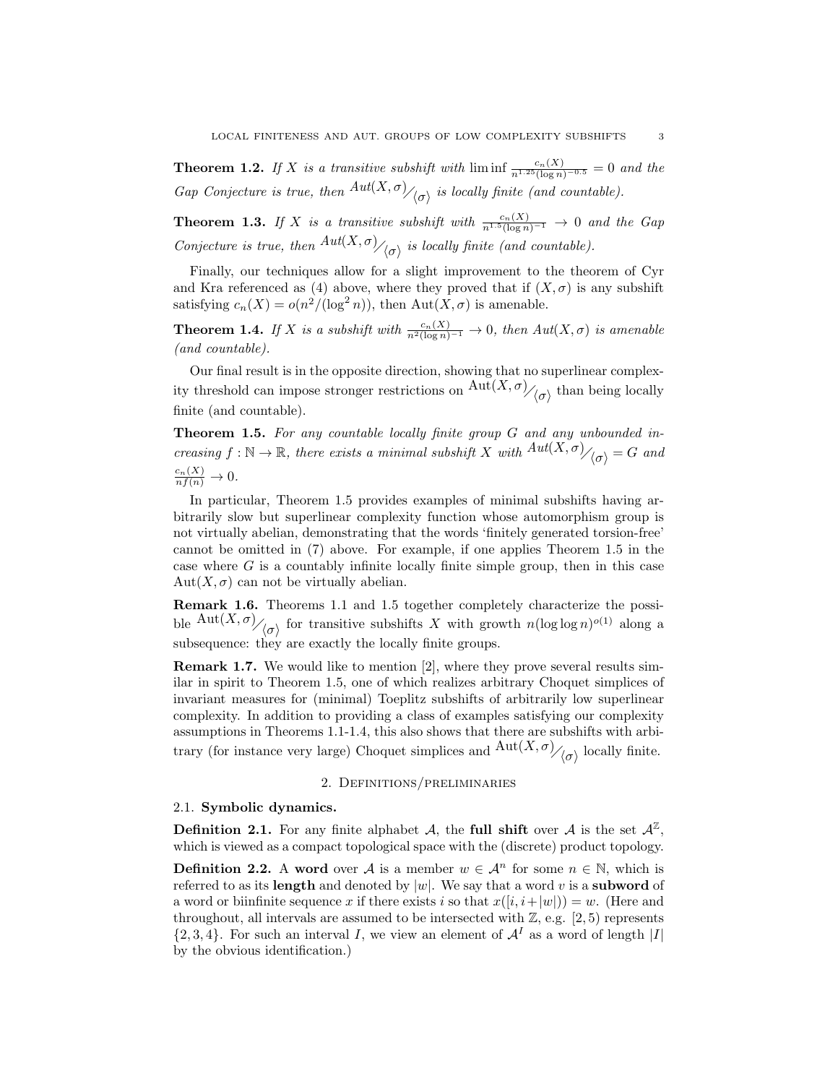**Theorem 1.2.** If X is a transitive subshift with  $\liminf_{n\to\infty} \frac{c_n(X)}{\log n)^{-0.5}} = 0$  and the Gap Conjecture is true, then  $Aut(X, \sigma)_{\langle \sigma \rangle}$  is locally finite (and countable).

**Theorem 1.3.** If X is a transitive subshift with  $\frac{c_n(X)}{n^{1.5}(\log n)^{-1}} \to 0$  and the Gap Conjecture is true, then  $Aut(X, \sigma)_{\big(\sigma\big)}$  is locally finite (and countable).

Finally, our techniques allow for a slight improvement to the theorem of Cyr and Kra referenced as (4) above, where they proved that if  $(X, \sigma)$  is any subshift satisfying  $c_n(X) = o(n^2/(\log^2 n))$ , then  $\text{Aut}(X, \sigma)$  is amenable.

**Theorem 1.4.** If X is a subshift with  $\frac{c_n(X)}{n^2(\log n)^{-1}} \to 0$ , then  $Aut(X, \sigma)$  is amenable (and countable).

Our final result is in the opposite direction, showing that no superlinear complexity threshold can impose stronger restrictions on  $\mathrm{Aut}(X,\sigma)_{\mathcal{O}_{\mathcal{O}}}$  than being locally finite (and countable).

Theorem 1.5. For any countable locally finite group G and any unbounded increasing  $f : \mathbb{N} \to \mathbb{R}$ , there exists a minimal subshift X with  $Aut(X, \sigma)_{\ell(\sigma)} = G$  and  $\frac{c_n(X)}{nf(n)} \to 0.$ 

In particular, Theorem 1.5 provides examples of minimal subshifts having arbitrarily slow but superlinear complexity function whose automorphism group is not virtually abelian, demonstrating that the words 'finitely generated torsion-free' cannot be omitted in (7) above. For example, if one applies Theorem 1.5 in the case where  $G$  is a countably infinite locally finite simple group, then in this case  $Aut(X, \sigma)$  can not be virtually abelian.

Remark 1.6. Theorems 1.1 and 1.5 together completely characterize the possible  $\mathrm{Aut}(X,\sigma)$ <sub> $\langle \sigma \rangle$ </sub> for transitive subshifts X with growth  $n(\log \log n)^{o(1)}$  along a subsequence: they are exactly the locally finite groups.

Remark 1.7. We would like to mention [2], where they prove several results similar in spirit to Theorem 1.5, one of which realizes arbitrary Choquet simplices of invariant measures for (minimal) Toeplitz subshifts of arbitrarily low superlinear complexity. In addition to providing a class of examples satisfying our complexity assumptions in Theorems 1.1-1.4, this also shows that there are subshifts with arbitrary (for instance very large) Choquet simplices and  ${\rm Aut}(X, \sigma)_{\sigma}$  locally finite.

## 2. Definitions/preliminaries

#### 2.1. Symbolic dynamics.

**Definition 2.1.** For any finite alphabet A, the full shift over A is the set  $\mathcal{A}^{\mathbb{Z}}$ , which is viewed as a compact topological space with the (discrete) product topology.

**Definition 2.2.** A word over A is a member  $w \in A^n$  for some  $n \in \mathbb{N}$ , which is referred to as its length and denoted by  $|w|$ . We say that a word v is a subword of a word or biinfinite sequence x if there exists i so that  $x([i, i+|w|)) = w$ . (Here and throughout, all intervals are assumed to be intersected with  $\mathbb{Z}$ , e.g. [2, 5] represents  $\{2,3,4\}$ . For such an interval I, we view an element of  $\mathcal{A}^I$  as a word of length |I| by the obvious identification.)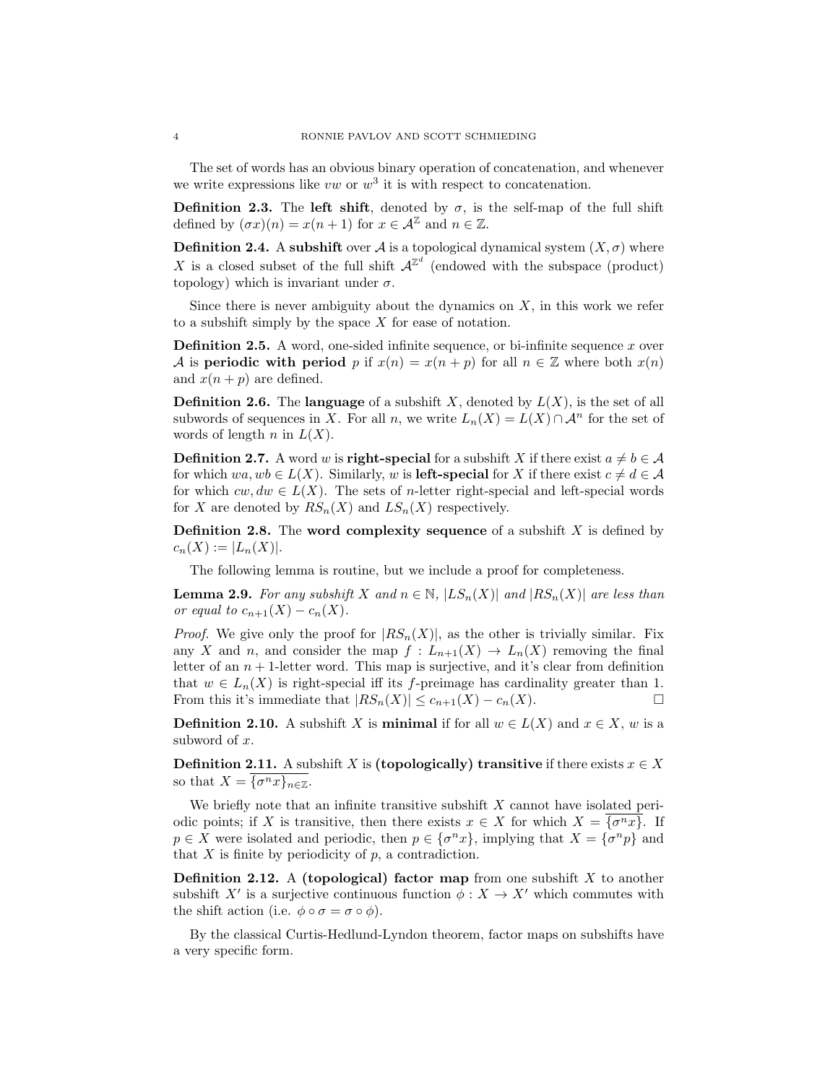The set of words has an obvious binary operation of concatenation, and whenever we write expressions like  $vw$  or  $w^3$  it is with respect to concatenation.

Definition 2.3. The left shift, denoted by  $\sigma$ , is the self-map of the full shift defined by  $(\sigma x)(n) = x(n+1)$  for  $x \in \mathcal{A}^{\mathbb{Z}}$  and  $n \in \mathbb{Z}$ .

**Definition 2.4.** A subshift over A is a topological dynamical system  $(X, \sigma)$  where X is a closed subset of the full shift  $\mathcal{A}^{\mathbb{Z}^d}$  (endowed with the subspace (product) topology) which is invariant under  $\sigma$ .

Since there is never ambiguity about the dynamics on  $X$ , in this work we refer to a subshift simply by the space  $X$  for ease of notation.

**Definition 2.5.** A word, one-sided infinite sequence, or bi-infinite sequence  $x$  over A is periodic with period p if  $x(n) = x(n+p)$  for all  $n \in \mathbb{Z}$  where both  $x(n)$ and  $x(n+p)$  are defined.

**Definition 2.6.** The language of a subshift X, denoted by  $L(X)$ , is the set of all subwords of sequences in X. For all n, we write  $L_n(X) = L(X) \cap \mathcal{A}^n$  for the set of words of length n in  $L(X)$ .

**Definition 2.7.** A word w is **right-special** for a subshift X if there exist  $a \neq b \in \mathcal{A}$ for which  $wa, wb \in L(X)$ . Similarly, w is **left-special** for X if there exist  $c \neq d \in A$ for which  $cw, dw \in L(X)$ . The sets of n-letter right-special and left-special words for X are denoted by  $RS_n(X)$  and  $LS_n(X)$  respectively.

**Definition 2.8.** The **word complexity sequence** of a subshift X is defined by  $c_n(X) := |L_n(X)|$ .

The following lemma is routine, but we include a proof for completeness.

**Lemma 2.9.** For any subshift X and  $n \in \mathbb{N}$ ,  $|LS_n(X)|$  and  $|RS_n(X)|$  are less than or equal to  $c_{n+1}(X) - c_n(X)$ .

*Proof.* We give only the proof for  $|RS_n(X)|$ , as the other is trivially similar. Fix any X and n, and consider the map  $f: L_{n+1}(X) \to L_n(X)$  removing the final letter of an  $n + 1$ -letter word. This map is surjective, and it's clear from definition that  $w \in L_n(X)$  is right-special iff its f-preimage has cardinality greater than 1. From this it's immediate that  $|RS_n(X)| \leq c_{n+1}(X) - c_n(X)$ .

**Definition 2.10.** A subshift X is **minimal** if for all  $w \in L(X)$  and  $x \in X$ , w is a subword of x.

**Definition 2.11.** A subshift X is (topologically) transitive if there exists  $x \in X$ so that  $X = {\{\sigma^n x\}}_{n \in \mathbb{Z}}$ .

We briefly note that an infinite transitive subshift  $X$  cannot have isolated periodic points; if X is transitive, then there exists  $x \in X$  for which  $X = \{\sigma^n x\}$ . If  $p \in X$  were isolated and periodic, then  $p \in {\{\sigma^n x\}}$ , implying that  $X = {\{\sigma^n p\}}$  and that  $X$  is finite by periodicity of  $p$ , a contradiction.

**Definition 2.12.** A (topological) factor map from one subshift  $X$  to another subshift X' is a surjective continuous function  $\phi : X \to X'$  which commutes with the shift action (i.e.  $\phi \circ \sigma = \sigma \circ \phi$ ).

By the classical Curtis-Hedlund-Lyndon theorem, factor maps on subshifts have a very specific form.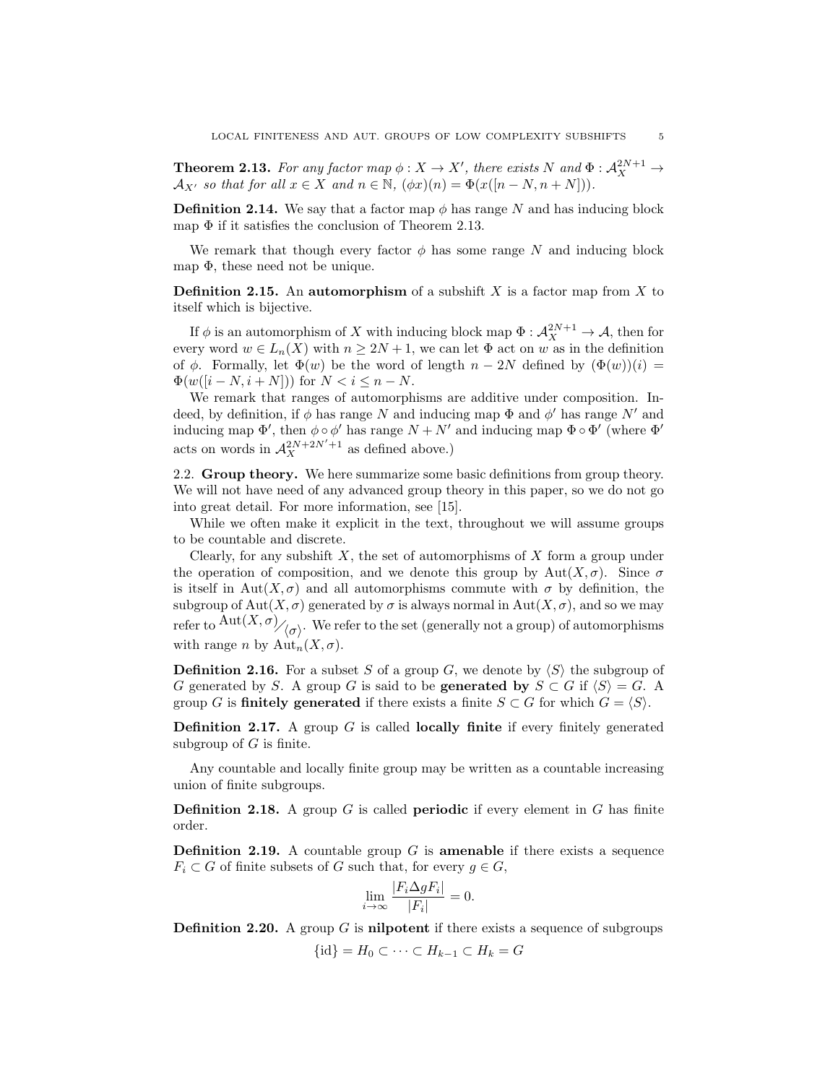**Theorem 2.13.** For any factor map  $\phi: X \to X'$ , there exists N and  $\Phi: \mathcal{A}_{X}^{2N+1} \to$  $\mathcal{A}_{X'}$  so that for all  $x \in X$  and  $n \in \mathbb{N}$ ,  $(\phi x)(n) = \Phi(x([n - N, n + N]))$ .

**Definition 2.14.** We say that a factor map  $\phi$  has range N and has inducing block map  $\Phi$  if it satisfies the conclusion of Theorem 2.13.

We remark that though every factor  $\phi$  has some range N and inducing block map  $\Phi$ , these need not be unique.

**Definition 2.15.** An automorphism of a subshift X is a factor map from X to itself which is bijective.

If  $\phi$  is an automorphism of X with inducing block map  $\Phi: \mathcal{A}_{X}^{2N+1} \to \mathcal{A}$ , then for every word  $w \in L_n(X)$  with  $n \geq 2N+1$ , we can let  $\Phi$  act on w as in the definition of  $\phi$ . Formally, let  $\Phi(w)$  be the word of length  $n-2N$  defined by  $(\Phi(w))(i)$  =  $\Phi(w([i - N, i + N]))$  for  $N < i \leq n - N$ .

We remark that ranges of automorphisms are additive under composition. Indeed, by definition, if  $\phi$  has range N and inducing map  $\Phi$  and  $\phi'$  has range N' and inducing map  $\Phi'$ , then  $\phi \circ \phi'$  has range  $N + N'$  and inducing map  $\Phi \circ \Phi'$  (where  $\Phi'$ acts on words in  $\mathcal{A}_{X}^{2N+2N'+1}$  as defined above.)

2.2. Group theory. We here summarize some basic definitions from group theory. We will not have need of any advanced group theory in this paper, so we do not go into great detail. For more information, see [15].

While we often make it explicit in the text, throughout we will assume groups to be countable and discrete.

Clearly, for any subshift  $X$ , the set of automorphisms of  $X$  form a group under the operation of composition, and we denote this group by  $Aut(X, \sigma)$ . Since  $\sigma$ is itself in Aut(X,  $\sigma$ ) and all automorphisms commute with  $\sigma$  by definition, the subgroup of  $Aut(X, \sigma)$  generated by  $\sigma$  is always normal in  $Aut(X, \sigma)$ , and so we may refer to  $\mathrm{Aut}(X,\sigma)_{\bigg/\!\big(\sigma\bigg)}$ . We refer to the set (generally not a group) of automorphisms with range *n* by  $\text{Aut}_n(X, \sigma)$ .

**Definition 2.16.** For a subset S of a group G, we denote by  $\langle S \rangle$  the subgroup of G generated by S. A group G is said to be **generated by**  $S \subset G$  if  $\langle S \rangle = G$ . A group G is **finitely generated** if there exists a finite  $S \subset G$  for which  $G = \langle S \rangle$ .

**Definition 2.17.** A group  $G$  is called **locally finite** if every finitely generated subgroup of  $G$  is finite.

Any countable and locally finite group may be written as a countable increasing union of finite subgroups.

**Definition 2.18.** A group G is called **periodic** if every element in G has finite order.

**Definition 2.19.** A countable group  $G$  is **amenable** if there exists a sequence  $F_i \subset G$  of finite subsets of G such that, for every  $q \in G$ ,

$$
\lim_{i \to \infty} \frac{|F_i \Delta g F_i|}{|F_i|} = 0.
$$

**Definition 2.20.** A group G is **nilpotent** if there exists a sequence of subgroups  $\{\mathrm{id}\}=H_0\subset\cdots\subset H_{k-1}\subset H_k=G$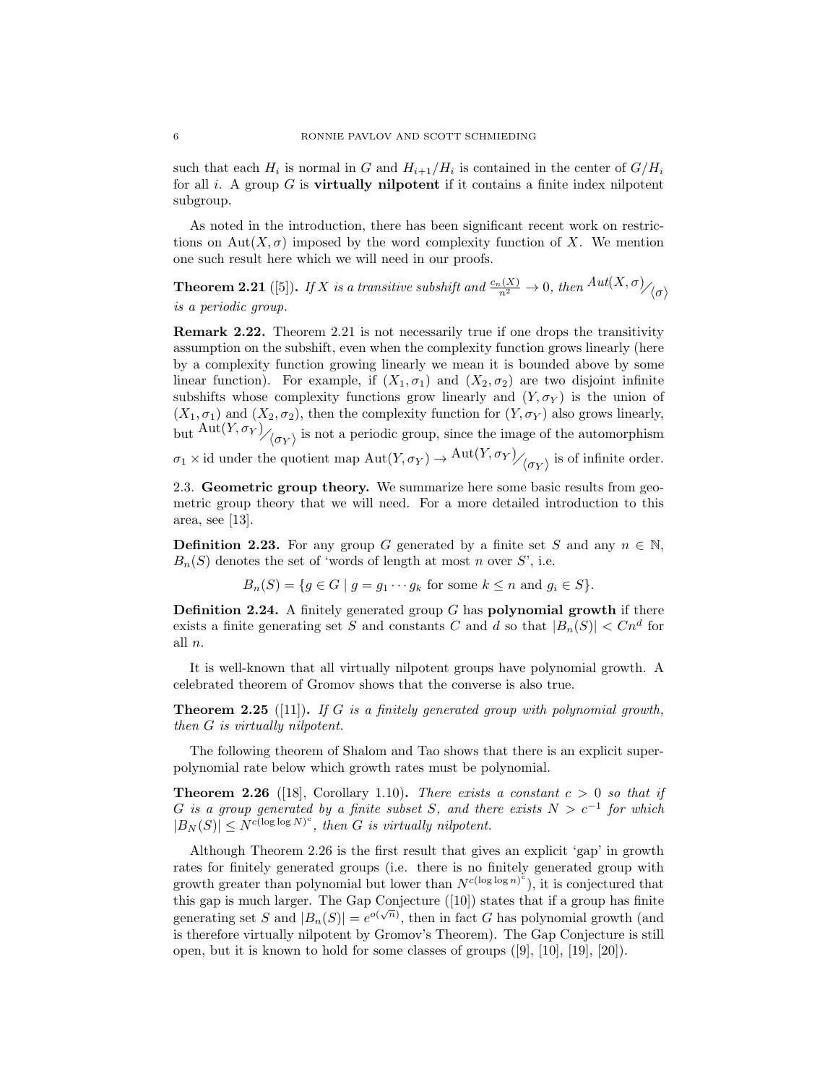such that each  $H_i$  is normal in G and  $H_{i+1}/H_i$  is contained in the center of  $G/H_i$ for all i. A group  $G$  is **virtually nilpotent** if it contains a finite index nilpotent subgroup.

As noted in the introduction, there has been significant recent work on restrictions on Aut $(X, \sigma)$  imposed by the word complexity function of X. We mention one such result here which we will need in our proofs.

**Theorem 2.21** ([5]). If X is a transitive subshift and  $\frac{c_n(X)}{n^2} \to 0$ , then  $Aut(X,\sigma)_{\sigma}$ is a periodic group.

Remark 2.22. Theorem 2.21 is not necessarily true if one drops the transitivity assumption on the subshift, even when the complexity function grows linearly (here by a complexity function growing linearly we mean it is bounded above by some linear function). For example, if  $(X_1, \sigma_1)$  and  $(X_2, \sigma_2)$  are two disjoint infinite subshifts whose complexity functions grow linearly and  $(Y, \sigma_Y)$  is the union of  $(X_1, \sigma_1)$  and  $(X_2, \sigma_2)$ , then the complexity function for  $(Y, \sigma_Y)$  also grows linearly, but  $\mathrm{Aut}(Y,\sigma_Y)\big/_{\langle \sigma_Y\rangle}$  is not a periodic group, since the image of the automorphism  $\sigma_1 \times \text{id}$  under the quotient map  $\text{Aut}(Y, \sigma_Y) \to \text{Aut}(Y, \sigma_Y)/\langle {\sigma_Y} \rangle$  is of infinite order.

2.3. Geometric group theory. We summarize here some basic results from geometric group theory that we will need. For a more detailed introduction to this area, see [13].

**Definition 2.23.** For any group G generated by a finite set S and any  $n \in \mathbb{N}$ ,  $B_n(S)$  denotes the set of 'words of length at most n over S', i.e.

 $B_n(S) = \{q \in G \mid q = q_1 \cdots q_k \text{ for some } k \leq n \text{ and } q_i \in S\}.$ 

**Definition 2.24.** A finitely generated group  $G$  has **polynomial growth** if there exists a finite generating set S and constants C and d so that  $|B_n(S)| < Cn^d$  for all n.

It is well-known that all virtually nilpotent groups have polynomial growth. A celebrated theorem of Gromov shows that the converse is also true.

**Theorem 2.25** ([11]). If G is a finitely generated group with polynomial growth, then G is virtually nilpotent.

The following theorem of Shalom and Tao shows that there is an explicit superpolynomial rate below which growth rates must be polynomial.

**Theorem 2.26** ([18], Corollary 1.10). There exists a constant  $c > 0$  so that if G is a group generated by a finite subset S, and there exists  $N > c^{-1}$  for which  $|B_N(S)| \le N^{c(\log \log N)^c}$ , then G is virtually nilpotent.

Although Theorem 2.26 is the first result that gives an explicit 'gap' in growth rates for finitely generated groups (i.e. there is no finitely generated group with growth greater than polynomial but lower than  $N^{c(\log \log n)^c}$ , it is conjectured that this gap is much larger. The Gap Conjecture ([10]) states that if a group has finite generating set S and  $|B_n(S)| = e^{o(\sqrt{n})}$ , then in fact G has polynomial growth (and is therefore virtually nilpotent by Gromov's Theorem). The Gap Conjecture is still open, but it is known to hold for some classes of groups ([9], [10], [19], [20]).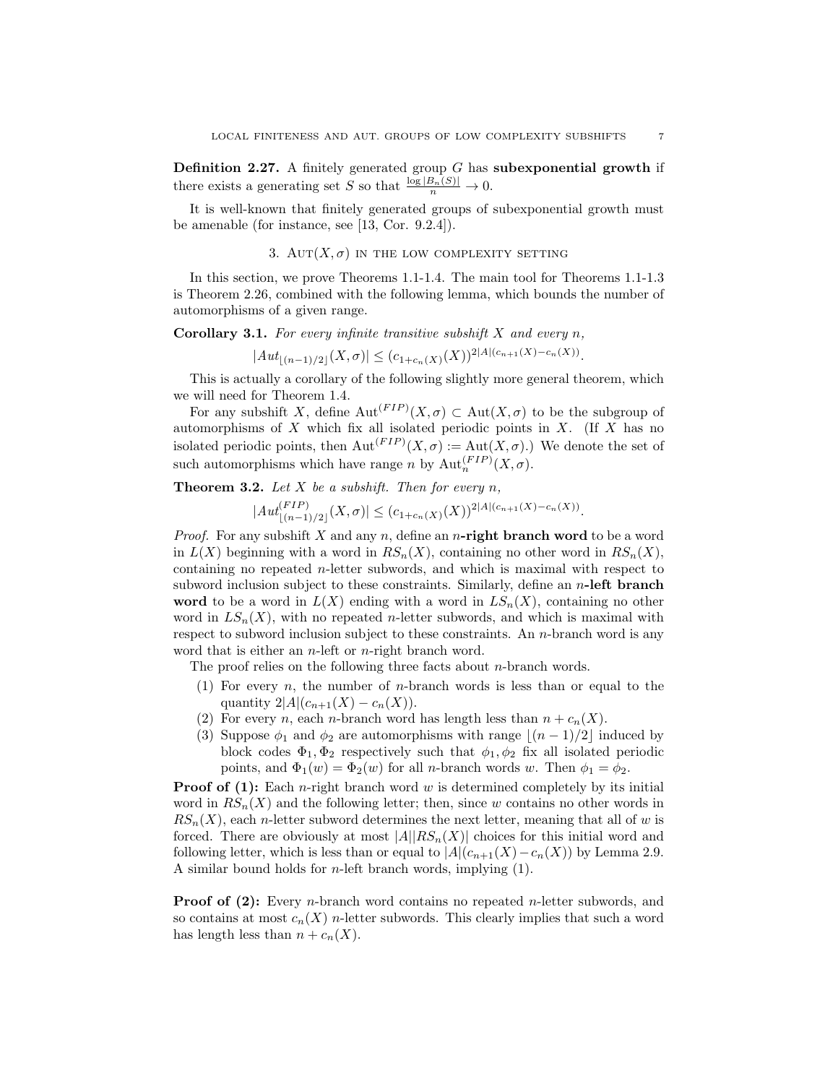**Definition 2.27.** A finitely generated group  $G$  has subexponential growth if there exists a generating set S so that  $\frac{\log |B_n(S)|}{n} \to 0$ .

It is well-known that finitely generated groups of subexponential growth must be amenable (for instance, see [13, Cor. 9.2.4]).

### 3. AUT $(X, \sigma)$  in the low complexity setting

In this section, we prove Theorems 1.1-1.4. The main tool for Theorems 1.1-1.3 is Theorem 2.26, combined with the following lemma, which bounds the number of automorphisms of a given range.

**Corollary 3.1.** For every infinite transitive subshift  $X$  and every n,

 $|Aut_{\lfloor (n-1)/2\rfloor}(X,\sigma)| \leq (c_{1+c_n(X)}(X))^{2|A|(c_{n+1}(X)-c_n(X))}.$ 

This is actually a corollary of the following slightly more general theorem, which we will need for Theorem 1.4.

For any subshift X, define  ${\rm Aut}^{(FIP)}(X,\sigma) \subset {\rm Aut}(X,\sigma)$  to be the subgroup of automorphisms of  $X$  which fix all isolated periodic points in  $X$ . (If  $X$  has no isolated periodic points, then  ${\rm Aut}^{(FIP)}(X,\sigma) := {\rm Aut}(X,\sigma)$ .) We denote the set of such automorphisms which have range n by  $\mathrm{Aut}_n^{(FIP)}(X,\sigma)$ .

**Theorem 3.2.** Let  $X$  be a subshift. Then for every  $n$ ,

 $|Aut_{|(n-1)/2|}^{(FIP)}(X,\sigma)| \leq (c_{1+c_n(X)}(X))^{2|A|(c_{n+1}(X)-c_n(X))}.$ 

*Proof.* For any subshift X and any n, define an n-right branch word to be a word in  $L(X)$  beginning with a word in  $RS_n(X)$ , containing no other word in  $RS_n(X)$ , containing no repeated n-letter subwords, and which is maximal with respect to subword inclusion subject to these constraints. Similarly, define an  $n$ -left branch word to be a word in  $L(X)$  ending with a word in  $LS_n(X)$ , containing no other word in  $LS_n(X)$ , with no repeated n-letter subwords, and which is maximal with respect to subword inclusion subject to these constraints. An n-branch word is any word that is either an *n*-left or *n*-right branch word.

The proof relies on the following three facts about  $n$ -branch words.

- (1) For every n, the number of n-branch words is less than or equal to the quantity  $2|A|(c_{n+1}(X) - c_n(X)).$
- (2) For every *n*, each *n*-branch word has length less than  $n + c_n(X)$ .
- (3) Suppose  $\phi_1$  and  $\phi_2$  are automorphisms with range  $|(n 1)/2|$  induced by block codes  $\Phi_1, \Phi_2$  respectively such that  $\phi_1, \phi_2$  fix all isolated periodic points, and  $\Phi_1(w) = \Phi_2(w)$  for all *n*-branch words w. Then  $\phi_1 = \phi_2$ .

**Proof of (1):** Each *n*-right branch word w is determined completely by its initial word in  $RS_n(X)$  and the following letter; then, since w contains no other words in  $RS_n(X)$ , each *n*-letter subword determines the next letter, meaning that all of w is forced. There are obviously at most  $|A||RS_n(X)|$  choices for this initial word and following letter, which is less than or equal to  $|A|(c_{n+1}(X)-c_n(X))$  by Lemma 2.9. A similar bound holds for *n*-left branch words, implying  $(1)$ .

**Proof of (2):** Every *n*-branch word contains no repeated *n*-letter subwords, and so contains at most  $c_n(X)$  n-letter subwords. This clearly implies that such a word has length less than  $n + c_n(X)$ .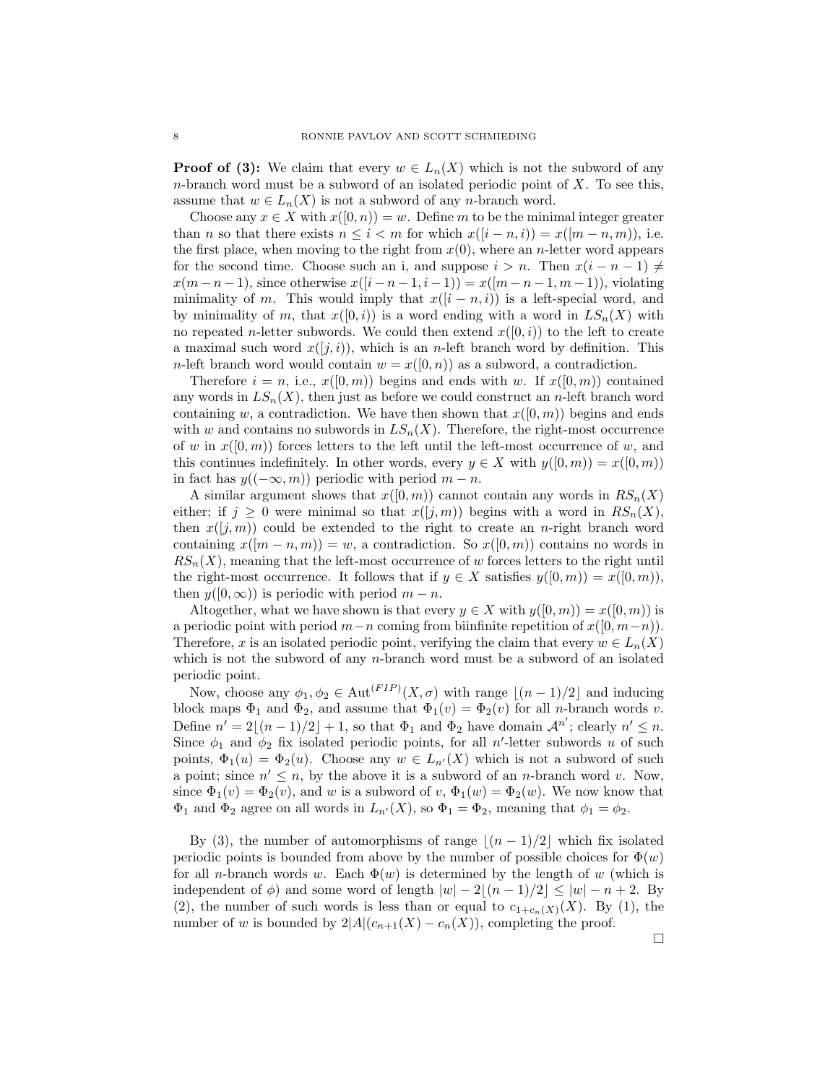**Proof of (3):** We claim that every  $w \in L_n(X)$  which is not the subword of any  $n$ -branch word must be a subword of an isolated periodic point of  $X$ . To see this, assume that  $w \in L_n(X)$  is not a subword of any *n*-branch word.

Choose any  $x \in X$  with  $x([0, n)) = w$ . Define m to be the minimal integer greater than n so that there exists  $n \leq i < m$  for which  $x([i - n, i)) = x([m - n, m))$ , i.e. the first place, when moving to the right from  $x(0)$ , where an *n*-letter word appears for the second time. Choose such an i, and suppose  $i > n$ . Then  $x(i - n - 1) \neq$  $x(m-n-1)$ , since otherwise  $x([i-n-1,i-1]) = x([m-n-1,m-1]),$  violating minimality of m. This would imply that  $x([i - n, i))$  is a left-special word, and by minimality of m, that  $x([0, i))$  is a word ending with a word in  $LS_n(X)$  with no repeated n-letter subwords. We could then extend  $x([0, i))$  to the left to create a maximal such word  $x([j, i))$ , which is an *n*-left branch word by definition. This n-left branch word would contain  $w = x(0, n)$  as a subword, a contradiction.

Therefore  $i = n$ , i.e.,  $x([0, m))$  begins and ends with w. If  $x([0, m))$  contained any words in  $LS_n(X)$ , then just as before we could construct an n-left branch word containing w, a contradiction. We have then shown that  $x([0, m))$  begins and ends with w and contains no subwords in  $LS_n(X)$ . Therefore, the right-most occurrence of w in  $x([0,m))$  forces letters to the left until the left-most occurrence of w, and this continues indefinitely. In other words, every  $y \in X$  with  $y([0, m)) = x([0, m))$ in fact has  $y((-\infty, m))$  periodic with period  $m - n$ .

A similar argument shows that  $x([0, m))$  cannot contain any words in  $RS_n(X)$ either; if  $j \geq 0$  were minimal so that  $x(j,m)$  begins with a word in  $RS_n(X)$ , then  $x([j,m))$  could be extended to the right to create an n-right branch word containing  $x([m-n,m)) = w$ , a contradiction. So  $x([0,m))$  contains no words in  $RS_n(X)$ , meaning that the left-most occurrence of w forces letters to the right until the right-most occurrence. It follows that if  $y \in X$  satisfies  $y([0, m)) = x([0, m)),$ then  $y([0,\infty))$  is periodic with period  $m - n$ .

Altogether, what we have shown is that every  $y \in X$  with  $y([0, m)) = x([0, m))$  is a periodic point with period  $m-n$  coming from biinfinite repetition of  $x([0, m-n))$ . Therefore, x is an isolated periodic point, verifying the claim that every  $w \in L_n(X)$ which is not the subword of any  $n$ -branch word must be a subword of an isolated periodic point.

Now, choose any  $\phi_1, \phi_2 \in \text{Aut}^{(FIP)}(X, \sigma)$  with range  $\lfloor (n-1)/2 \rfloor$  and inducing block maps  $\Phi_1$  and  $\Phi_2$ , and assume that  $\Phi_1(v) = \Phi_2(v)$  for all *n*-branch words v. Define  $n' = 2\lfloor (n-1)/2 \rfloor + 1$ , so that  $\Phi_1$  and  $\Phi_2$  have domain  $\mathcal{A}^{n'}$ ; clearly  $n' \leq n$ . Since  $\phi_1$  and  $\phi_2$  fix isolated periodic points, for all n'-letter subwords u of such points,  $\Phi_1(u) = \Phi_2(u)$ . Choose any  $w \in L_{n'}(X)$  which is not a subword of such a point; since  $n' \leq n$ , by the above it is a subword of an *n*-branch word v. Now, since  $\Phi_1(v) = \Phi_2(v)$ , and w is a subword of v,  $\Phi_1(w) = \Phi_2(w)$ . We now know that  $\Phi_1$  and  $\Phi_2$  agree on all words in  $L_{n'}(X)$ , so  $\Phi_1 = \Phi_2$ , meaning that  $\phi_1 = \phi_2$ .

By (3), the number of automorphisms of range  $|(n - 1)/2|$  which fix isolated periodic points is bounded from above by the number of possible choices for  $\Phi(w)$ for all n-branch words w. Each  $\Phi(w)$  is determined by the length of w (which is independent of  $\phi$ ) and some word of length  $|w| - 2|(n - 1)/2| \le |w| - n + 2$ . By (2), the number of such words is less than or equal to  $c_{1+c_n(X)}(X)$ . By (1), the number of w is bounded by  $2|A|(c_{n+1}(X) - c_n(X))$ , completing the proof.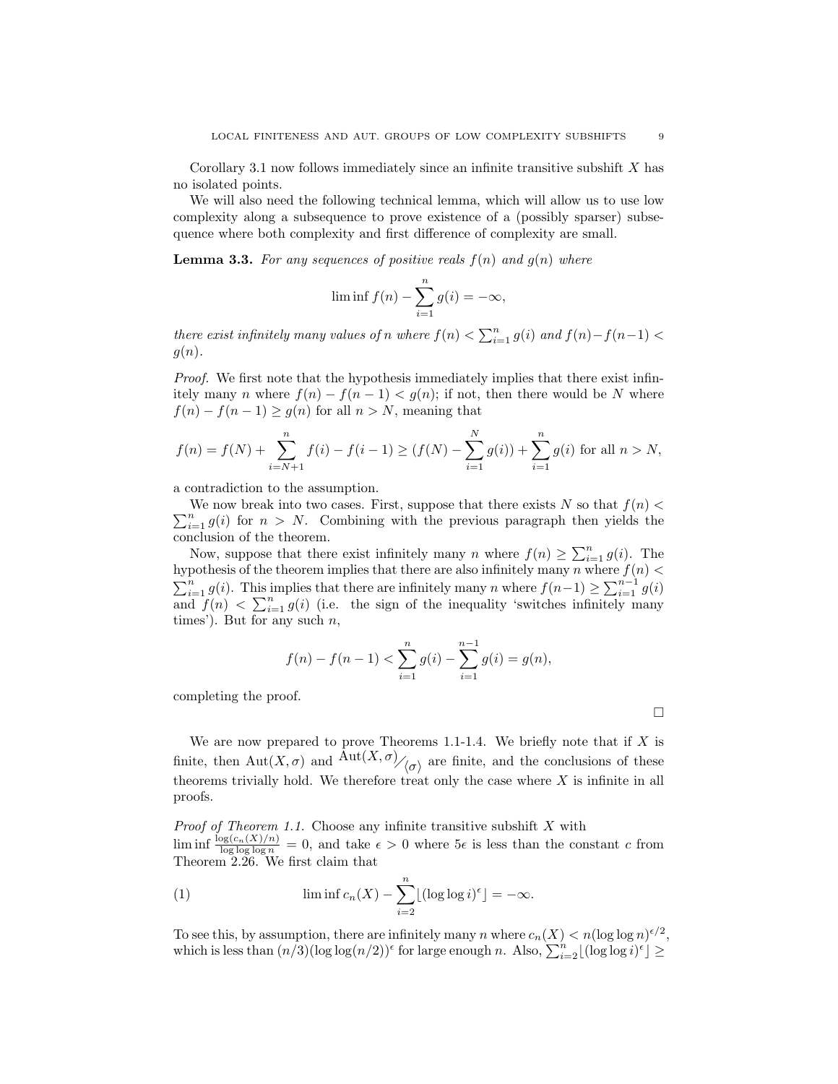Corollary 3.1 now follows immediately since an infinite transitive subshift X has no isolated points.

We will also need the following technical lemma, which will allow us to use low complexity along a subsequence to prove existence of a (possibly sparser) subsequence where both complexity and first difference of complexity are small.

**Lemma 3.3.** For any sequences of positive reals  $f(n)$  and  $g(n)$  where

$$
\liminf f(n) - \sum_{i=1}^{n} g(i) = -\infty,
$$

there exist infinitely many values of n where  $f(n) < \sum_{i=1}^{n} g(i)$  and  $f(n)-f(n-1) <$  $g(n)$ .

Proof. We first note that the hypothesis immediately implies that there exist infinitely many n where  $f(n) - f(n-1) < g(n)$ ; if not, then there would be N where  $f(n) - f(n-1) \ge g(n)$  for all  $n > N$ , meaning that

$$
f(n) = f(N) + \sum_{i=N+1}^{n} f(i) - f(i-1) \ge (f(N) - \sum_{i=1}^{N} g(i)) + \sum_{i=1}^{n} g(i)
$$
 for all  $n > N$ ,

a contradiction to the assumption.

 $\sum_{i=1}^{n} g(i)$  for  $n > N$ . Combining with the previous paragraph then yields the We now break into two cases. First, suppose that there exists N so that  $f(n)$ conclusion of the theorem.

Now, suppose that there exist infinitely many n where  $f(n) \geq \sum_{i=1}^{n} g(i)$ . The hypothesis of the theorem implies that there are also infinitely many n where  $f(n)$  $\sum_{i=1}^{n} g(i)$ . This implies that there are infinitely many n where  $f(n-1) \geq \sum_{i=1}^{n-1} g(i)$ and  $f(n) < \sum_{i=1}^{n} g(i)$  (i.e. the sign of the inequality 'switches infinitely many times'). But for any such  $n$ ,

$$
f(n) - f(n-1) < \sum_{i=1}^{n} g(i) - \sum_{i=1}^{n-1} g(i) = g(n),
$$

completing the proof.

We are now prepared to prove Theorems 1.1-1.4. We briefly note that if  $X$  is finite, then  $\mathrm{Aut}(X,\sigma)$  and  $\mathrm{Aut}(X,\sigma)_{\sigma}$  are finite, and the conclusions of these theorems trivially hold. We therefore treat only the case where  $X$  is infinite in all proofs.

*Proof of Theorem 1.1.* Choose any infinite transitive subshift  $X$  with  $\liminf \frac{\log(c_n(X)/n)}{\log \log \log n} = 0$ , and take  $\epsilon > 0$  where  $5\epsilon$  is less than the constant c from Theorem 2.26. We first claim that

(1) 
$$
\liminf c_n(X) - \sum_{i=2}^n \lfloor (\log \log i)^{\epsilon} \rfloor = -\infty.
$$

To see this, by assumption, there are infinitely many n where  $c_n(X) < n(\log \log n)^{\epsilon/2}$ , which is less than  $(n/3)(\log \log (n/2))^{\epsilon}$  for large enough n. Also,  $\sum_{i=2}^{n} \lfloor (\log \log i)^{\epsilon} \rfloor \ge$ 

 $\Box$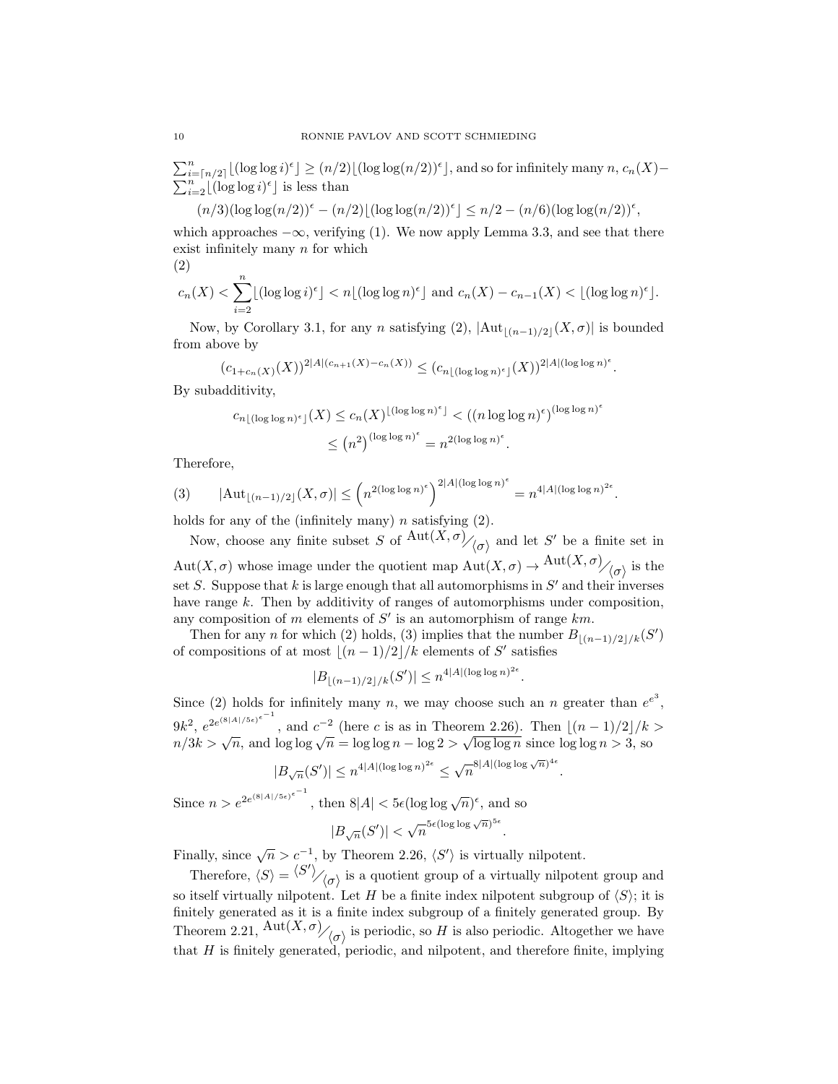$\sum_{i=\lceil n/2 \rceil}^{n} \lfloor (\log \log i)^{\epsilon} \rfloor \ge (n/2) \lfloor (\log \log (n/2))^{\epsilon} \rfloor$ , and so for infinitely many  $n, c_n(X)$  $\sum_{i=2}^{n} \lfloor (\log \log i)^{\epsilon} \rfloor$  is less than

$$
(n/3)(\log \log (n/2))^{\epsilon} - (n/2) \lfloor (\log \log (n/2))^{\epsilon} \rfloor \le n/2 - (n/6)(\log \log (n/2))^{\epsilon},
$$

which approaches  $-\infty$ , verifying (1). We now apply Lemma 3.3, and see that there exist infinitely many  $n$  for which

$$
(2)
$$

$$
c_n(X) < \sum_{i=2}^n \lfloor (\log \log i)^{\epsilon} \rfloor < n \lfloor (\log \log n)^{\epsilon} \rfloor \text{ and } c_n(X) - c_{n-1}(X) < \lfloor (\log \log n)^{\epsilon} \rfloor.
$$

Now, by Corollary 3.1, for any n satisfying (2),  $|\text{Aut}_{\lfloor(n-1)/2\rfloor}(X,\sigma)|$  is bounded from above by

$$
(c_{1+c_n(X)}(X))^{2|A|(c_{n+1}(X)-c_n(X))} \le (c_{n\lfloor (\log \log n)^{\epsilon} \rfloor}(X))^{2|A|(\log \log n)^{\epsilon}}.
$$

By subadditivity,

$$
c_{n\lfloor (\log\log n)^{\epsilon} \rfloor}(X) \le c_n(X)^{\lfloor (\log\log n)^{\epsilon} \rfloor} < ((n \log\log n)^{\epsilon})^{(\log\log n)^{\epsilon}}
$$

$$
\le (n^2)^{(\log\log n)^{\epsilon}} = n^{2(\log\log n)^{\epsilon}}.
$$

Therefore,

$$
(3) \qquad |\text{Aut}_{\lfloor (n-1)/2 \rfloor}(X,\sigma)| \le \left(n^{2(\log\log n)^{\epsilon}}\right)^{2|A|(\log\log n)^{\epsilon}} = n^{4|A|(\log\log n)^{2\epsilon}}.
$$

holds for any of the (infinitely many)  $n$  satisfying  $(2)$ .

Now, choose any finite subset S of  $\frac{\text{Aut}(X,\sigma)}{\langle \sigma \rangle}$  and let S' be a finite set in  $Aut(X, \sigma)$  whose image under the quotient map  $Aut(X, \sigma) \to Aut(X, \sigma)/_{\langle \sigma \rangle}$  is the set S. Suppose that k is large enough that all automorphisms in  $S'$  and their inverses have range k. Then by additivity of ranges of automorphisms under composition, any composition of m elements of  $S'$  is an automorphism of range  $km$ .

Then for any n for which (2) holds, (3) implies that the number  $B_{|(n-1)/2|/k}(S')$ of compositions of at most  $|(n - 1)/2|/k$  elements of S' satisfies

$$
|B_{\lfloor (n-1)/2 \rfloor / k}(S')| \le n^{4|A|(\log \log n)^{2\epsilon}}.
$$

Since (2) holds for infinitely many n, we may choose such an n greater than  $e^{e^3}$ ,  $9k^2$ ,  $e^{2e^{(8|A|/5\epsilon)^{\epsilon^{-1}}}}$ , and  $c^{-2}$  (here c is as in Theorem 2.26). Then  $\lfloor (n-1)/2 \rfloor / k >$  $n/3k > \sqrt{n}$ , and  $\log \log \sqrt{n} = \log \log n - \log 2 > \sqrt{\log \log n}$  since  $\log \log n > 3$ , so

$$
|B_{\sqrt{n}}(S')| \le n^{4|A|(\log \log n)^{2\epsilon}} \le \sqrt{n}^{8|A|(\log \log \sqrt{n})^{4\epsilon}}.
$$

Since  $n > e^{2e^{(8|A|/5\epsilon)}}$  $\epsilon^{-1}$ , then  $8|A| < 5\epsilon (\log \log \sqrt{n})^{\epsilon}$ , and so  $|B_{\sqrt{n}}(S')| < \sqrt{n}^{5\epsilon (\log \log \sqrt{n})^{5\epsilon}}.$ 

Finally, since  $\sqrt{n} > c^{-1}$ , by Theorem 2.26,  $\langle S' \rangle$  is virtually nilpotent.

Therefore,  $\langle S \rangle = \langle S' \rangle / \langle \sigma \rangle$  is a quotient group of a virtually nilpotent group and so itself virtually nilpotent. Let H be a finite index nilpotent subgroup of  $\langle S \rangle$ ; it is finitely generated as it is a finite index subgroup of a finitely generated group. By Theorem 2.21,  ${\rm Aut}(X,\sigma)/_{\langle \sigma \rangle}$  is periodic, so H is also periodic. Altogether we have that H is finitely generated, periodic, and nilpotent, and therefore finite, implying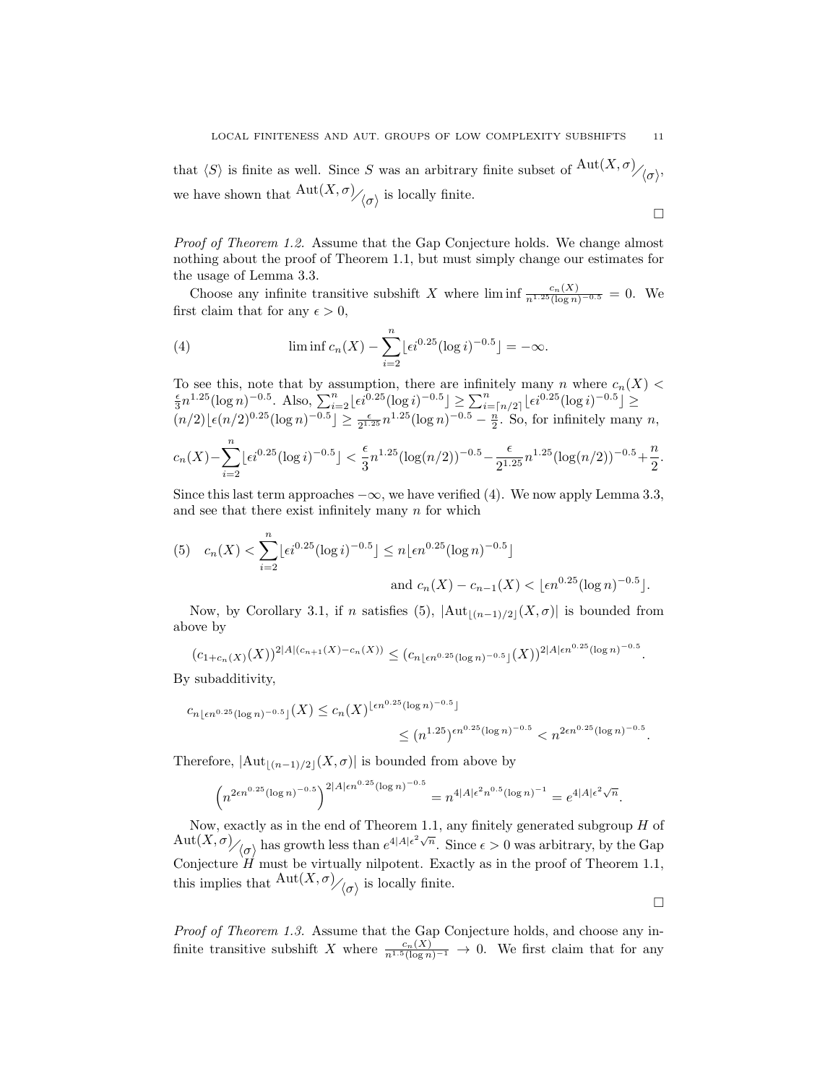that  $\langle S \rangle$  is finite as well. Since S was an arbitrary finite subset of  $\mathrm{Aut}(X,\sigma)_{\mathcal{O}_{\mathcal{O}}},$ we have shown that  $\mathrm{Aut}(X,\sigma)_{\big( \sigma \big)}$  is locally finite.

 $\Box$ 

Proof of Theorem 1.2. Assume that the Gap Conjecture holds. We change almost nothing about the proof of Theorem 1.1, but must simply change our estimates for the usage of Lemma 3.3.

Choose any infinite transitive subshift X where  $\liminf_{n\to\infty} \frac{c_n(X)}{n^{1.25}(\log n)^{-0.5}} = 0$ . We first claim that for any  $\epsilon > 0$ ,

(4) 
$$
\liminf c_n(X) - \sum_{i=2}^n \lfloor \epsilon i^{0.25} (\log i)^{-0.5} \rfloor = -\infty.
$$

To see this, note that by assumption, there are infinitely many *n* where  $c_n(X) < \frac{\epsilon}{3}n^{1.25}(\log n)^{-0.5}$ . Also,  $\sum_{i=2}^n \lfloor \epsilon i^{0.25}(\log i)^{-0.5} \rfloor \ge \sum_{i=\lceil n/2 \rceil}^n \lfloor \epsilon i^{0.25}(\log i)^{-0.5} \rfloor \ge$  $(n/2)\lfloor \epsilon (n/2)^{0.25} (\log n)^{-0.5} \rfloor \ge \frac{\epsilon}{2^{1.25}} n^{1.25} (\log n)^{-0.5} - \frac{n}{2}$ . So, for infinitely many n,

$$
c_n(X) - \sum_{i=2}^n \lfloor \epsilon i^{0.25} (\log i)^{-0.5} \rfloor < \frac{\epsilon}{3} n^{1.25} (\log(n/2))^{-0.5} - \frac{\epsilon}{2^{1.25}} n^{1.25} (\log(n/2))^{-0.5} + \frac{n}{2}.
$$

Since this last term approaches  $-\infty$ , we have verified (4). We now apply Lemma 3.3, and see that there exist infinitely many  $n$  for which

(5) 
$$
c_n(X) < \sum_{i=2}^n \lfloor \epsilon i^{0.25} (\log i)^{-0.5} \rfloor \le n \lfloor \epsilon n^{0.25} (\log n)^{-0.5} \rfloor
$$
  
and  $c_n(X) - c_{n-1}(X) < \lfloor \epsilon n^{0.25} (\log n)^{-0.5} \rfloor$ .

Now, by Corollary 3.1, if n satisfies (5),  $|\text{Aut}_{|(n-1)/2}(X,\sigma)|$  is bounded from above by

$$
(c_{1+c_n(X)}(X))^{2|A|(c_{n+1}(X)-c_n(X))} \le (c_{n\lfloor \epsilon n^{0.25}(\log n)^{-0.5}\rfloor}(X))^{2|A|\epsilon n^{0.25}(\log n)^{-0.5}}.
$$

By subadditivity,

$$
c_{n\lfloor \epsilon n^{0.25}(\log n)^{-0.5}\rfloor}(X) \le c_n(X)^{\lfloor \epsilon n^{0.25}(\log n)^{-0.5}\rfloor} \le (n^{1.25})^{\epsilon n^{0.25}(\log n)^{-0.5}} < n^{2\epsilon n^{0.25}(\log n)^{-0.5}}.
$$

Therefore,  $|\text{Aut}_{|(n-1)/2|}(X,\sigma)|$  is bounded from above by

$$
\left(n^{2\epsilon n^{0.25}(\log n)^{-0.5}}\right)^{2|A|\epsilon n^{0.25}(\log n)^{-0.5}} = n^{4|A|\epsilon^2 n^{0.5}(\log n)^{-1}} = e^{4|A|\epsilon^2 \sqrt{n}}.
$$

Now, exactly as in the end of Theorem 1.1, any finitely generated subgroup  $H$  of  $\mathrm{Aut}(X,\sigma)$  has growth less than  $e^{4|A|\epsilon^2\sqrt{n}}$ . Since  $\epsilon > 0$  was arbitrary, by the Gap Conjecture  $H$  must be virtually nilpotent. Exactly as in the proof of Theorem 1.1, this implies that  $\frac{\text{Aut}(X,\sigma)}{\langle \sigma \rangle}$  is locally finite.

 $\Box$ 

Proof of Theorem 1.3. Assume that the Gap Conjecture holds, and choose any infinite transitive subshift X where  $\frac{c_n(X)}{n^{1.5}(\log n)^{-1}} \to 0$ . We first claim that for any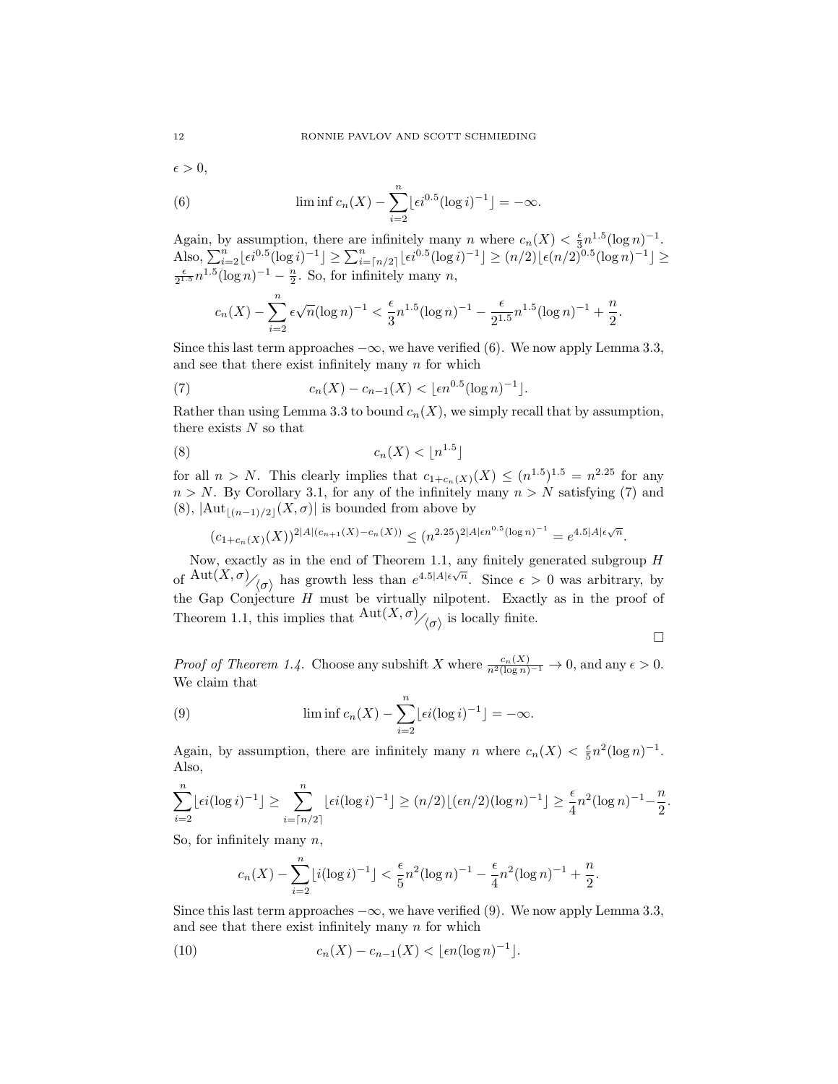$\epsilon > 0$ ,

(6) 
$$
\liminf c_n(X) - \sum_{i=2}^n \lfloor \epsilon i^{0.5} (\log i)^{-1} \rfloor = -\infty.
$$

Again, by assumption, there are infinitely many n where  $c_n(X) < \frac{\epsilon}{3} n^{1.5} (\log n)^{-1}$ . Also,  $\sum_{i=2}^{n} \lfloor \epsilon i^{0.5} (\log i)^{-1} \rfloor \ge \sum_{i=\lceil n/2 \rceil}^{n} \lfloor \epsilon i^{0.5} (\log i)^{-1} \rfloor \ge (n/2) \lfloor \epsilon (n/2)^{0.5} (\log n)^{-1} \rfloor \ge$  $\frac{\epsilon}{2^{1.5}} n^{1.5} (\log n)^{-1} - \frac{n}{2}$ . So, for infinitely many n,

$$
c_n(X) - \sum_{i=2}^n \epsilon \sqrt{n} (\log n)^{-1} < \frac{\epsilon}{3} n^{1.5} (\log n)^{-1} - \frac{\epsilon}{2^{1.5}} n^{1.5} (\log n)^{-1} + \frac{n}{2}
$$

Since this last term approaches  $-\infty$ , we have verified (6). We now apply Lemma 3.3, and see that there exist infinitely many  $n$  for which

(7) 
$$
c_n(X) - c_{n-1}(X) < \lfloor \epsilon n^{0.5} (\log n)^{-1} \rfloor.
$$

Rather than using Lemma 3.3 to bound  $c_n(X)$ , we simply recall that by assumption, there exists  $N$  so that

$$
(8) \t\t\t c_n(X) < \lfloor n^{1.5} \rfloor
$$

for all  $n > N$ . This clearly implies that  $c_{1+c_n(X)}(X) \leq (n^{1.5})^{1.5} = n^{2.25}$  for any  $n > N$ . By Corollary 3.1, for any of the infinitely many  $n > N$  satisfying (7) and (8),  $|\text{Aut}_{[(n-1)/2]}(X,\sigma)|$  is bounded from above by

$$
(c_{1+c_n(X)}(X))^{2|A|(c_{n+1}(X)-c_n(X))} \le (n^{2.25})^{2|A|\epsilon n^{0.5}(\log n)^{-1}} = e^{4.5|A|\epsilon\sqrt{n}}.
$$

Now, exactly as in the end of Theorem 1.1, any finitely generated subgroup  $H$ of  $Aut(X,\sigma)$ <sub>/( $\sigma$ )</sub> has growth less than  $e^{4.5|A|\epsilon\sqrt{n}}$ . Since  $\epsilon > 0$  was arbitrary, by the Gap Conjecture  $H$  must be virtually nilpotent. Exactly as in the proof of Theorem 1.1, this implies that  ${\rm Aut}(X,\sigma)_{\bigg/\bigg(\sigma\bigg)}$  is locally finite.

$$
\qquad \qquad \Box
$$

.

*Proof of Theorem 1.4.* Choose any subshift X where  $\frac{c_n(X)}{n^2(\log n)^{-1}} \to 0$ , and any  $\epsilon > 0$ . We claim that

(9) 
$$
\liminf c_n(X) - \sum_{i=2}^n \lfloor \epsilon i (\log i)^{-1} \rfloor = -\infty.
$$

Again, by assumption, there are infinitely many n where  $c_n(X) < \frac{\epsilon}{5} n^2 (\log n)^{-1}$ . Also,

$$
\sum_{i=2}^{n} \lfloor \epsilon i (\log i)^{-1} \rfloor \ge \sum_{i=\lceil n/2 \rceil}^{n} \lfloor \epsilon i (\log i)^{-1} \rfloor \ge (n/2) \lfloor (\epsilon n/2) (\log n)^{-1} \rfloor \ge \frac{\epsilon}{4} n^2 (\log n)^{-1} - \frac{n}{2}.
$$

So, for infinitely many  $n$ ,

$$
c_n(X) - \sum_{i=2}^n \lfloor i(\log i)^{-1} \rfloor < \frac{\epsilon}{5} n^2 (\log n)^{-1} - \frac{\epsilon}{4} n^2 (\log n)^{-1} + \frac{n}{2}.
$$

Since this last term approaches  $-\infty$ , we have verified (9). We now apply Lemma 3.3, and see that there exist infinitely many  $n$  for which

(10) 
$$
c_n(X) - c_{n-1}(X) < \lfloor \epsilon n (\log n)^{-1} \rfloor.
$$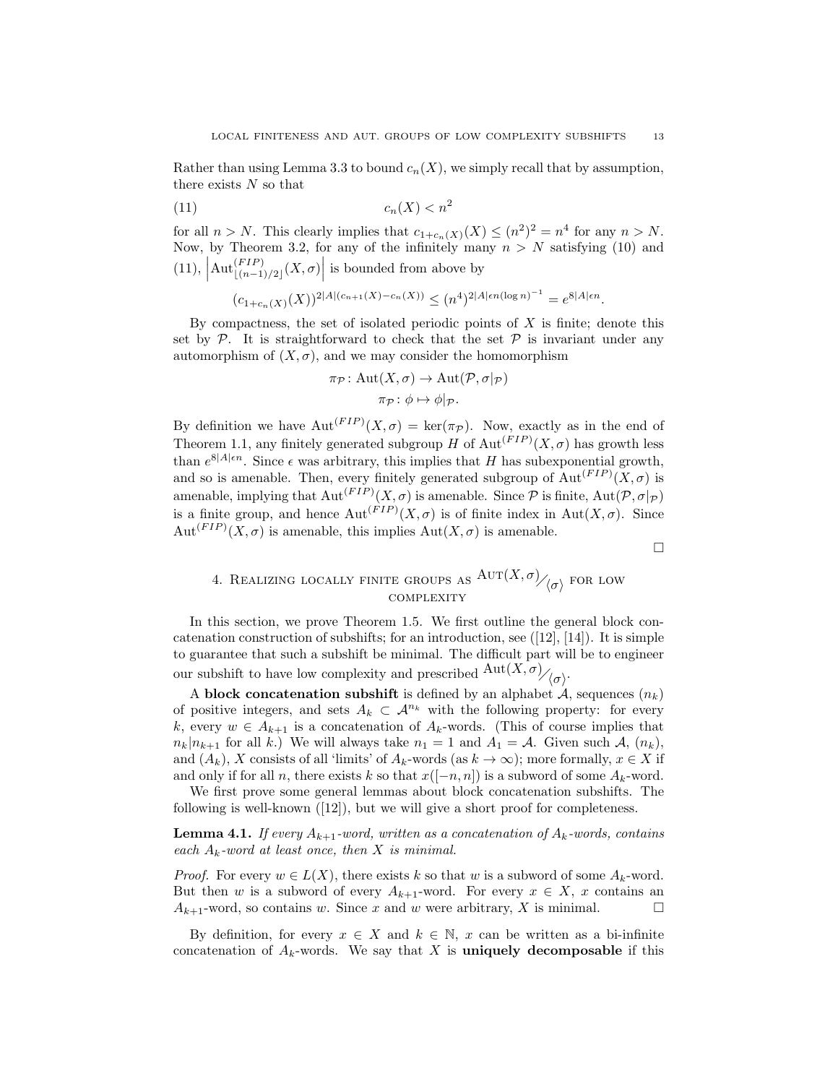Rather than using Lemma 3.3 to bound  $c_n(X)$ , we simply recall that by assumption, there exists  $N$  so that

$$
(11)\qquad \qquad c_n(X) < n^2
$$

for all  $n > N$ . This clearly implies that  $c_{1+c_n(X)}(X) \leq (n^2)^2 = n^4$  for any  $n > N$ . Now, by Theorem 3.2, for any of the infinitely many  $n > N$  satisfying (10) and  $(11)$ ,  $\left|\mathrm{Aut}_{\lfloor (n-1)/2\rfloor}^{(FIP)}(X,\sigma)\right|$  is bounded from above by

$$
(c_{1+c_n(X)}(X))^{2|A|(c_{n+1}(X)-c_n(X))} \le (n^4)^{2|A|\epsilon n (\log n)^{-1}} = e^{8|A|\epsilon n}.
$$

By compactness, the set of isolated periodic points of  $X$  is finite; denote this set by  $\mathcal{P}$ . It is straightforward to check that the set  $\mathcal{P}$  is invariant under any automorphism of  $(X, \sigma)$ , and we may consider the homomorphism

$$
\pi_{\mathcal{P}} \colon \mathrm{Aut}(X,\sigma) \to \mathrm{Aut}(\mathcal{P},\sigma|_{\mathcal{P}})
$$

$$
\pi_{\mathcal{P}} \colon \phi \mapsto \phi|_{\mathcal{P}}.
$$

By definition we have  ${\rm Aut}^{(FIP)}(X,\sigma) = {\rm ker}(\pi_{\mathcal{P}})$ . Now, exactly as in the end of Theorem 1.1, any finitely generated subgroup H of  $\mathrm{Aut}^{(FIP)}(X,\sigma)$  has growth less than  $e^{8|A|\epsilon n}$ . Since  $\epsilon$  was arbitrary, this implies that H has subexponential growth, and so is amenable. Then, every finitely generated subgroup of  ${\rm Aut}^{(FIP)}(X,\sigma)$  is amenable, implying that  ${\rm Aut}^{(FIP)}(X,\sigma)$  is amenable. Since  $P$  is finite,  ${\rm Aut}(P,\sigma|_{\mathcal{P}})$ is a finite group, and hence  ${\rm Aut}^{(FIP)}(X,\sigma)$  is of finite index in  ${\rm Aut}(X,\sigma)$ . Since  $Aut<sup>(FIP)</sup>(X,\sigma)$  is amenable, this implies  $Aut(X,\sigma)$  is amenable.

 $\Box$ 

# 4. REALIZING LOCALLY FINITE GROUPS AS  $\mathrm{Aut}(X,\sigma)_{\big/ \big/ \big/ \sigma \big>}$  for low **COMPLEXITY**

In this section, we prove Theorem 1.5. We first outline the general block concatenation construction of subshifts; for an introduction, see  $([12], [14])$ . It is simple to guarantee that such a subshift be minimal. The difficult part will be to engineer our subshift to have low complexity and prescribed  $\mathrm{Aut}(X,\sigma)_{\mathcal{O}_{\mathcal{O}}^{\mathcal{O}}}$ .

A block concatenation subshift is defined by an alphabet  $A$ , sequences  $(n_k)$ of positive integers, and sets  $A_k \subset \mathcal{A}^{n_k}$  with the following property: for every k, every  $w \in A_{k+1}$  is a concatenation of  $A_k$ -words. (This of course implies that  $n_k|n_{k+1}$  for all k.) We will always take  $n_1 = 1$  and  $A_1 = A$ . Given such A,  $(n_k)$ , and  $(A_k)$ , X consists of all 'limits' of  $A_k$ -words (as  $k \to \infty$ ); more formally,  $x \in X$  if and only if for all n, there exists k so that  $x([-n, n])$  is a subword of some  $A_k$ -word.

We first prove some general lemmas about block concatenation subshifts. The following is well-known  $(12)$ , but we will give a short proof for completeness.

**Lemma 4.1.** If every  $A_{k+1}$ -word, written as a concatenation of  $A_k$ -words, contains each  $A_k$ -word at least once, then X is minimal.

*Proof.* For every  $w \in L(X)$ , there exists k so that w is a subword of some  $A_k$ -word. But then w is a subword of every  $A_{k+1}$ -word. For every  $x \in X$ , x contains an  $A_{k+1}$ -word, so contains w. Since x and w were arbitrary, X is minimal.

By definition, for every  $x \in X$  and  $k \in \mathbb{N}$ , x can be written as a bi-infinite concatenation of  $A_k$ -words. We say that X is uniquely decomposable if this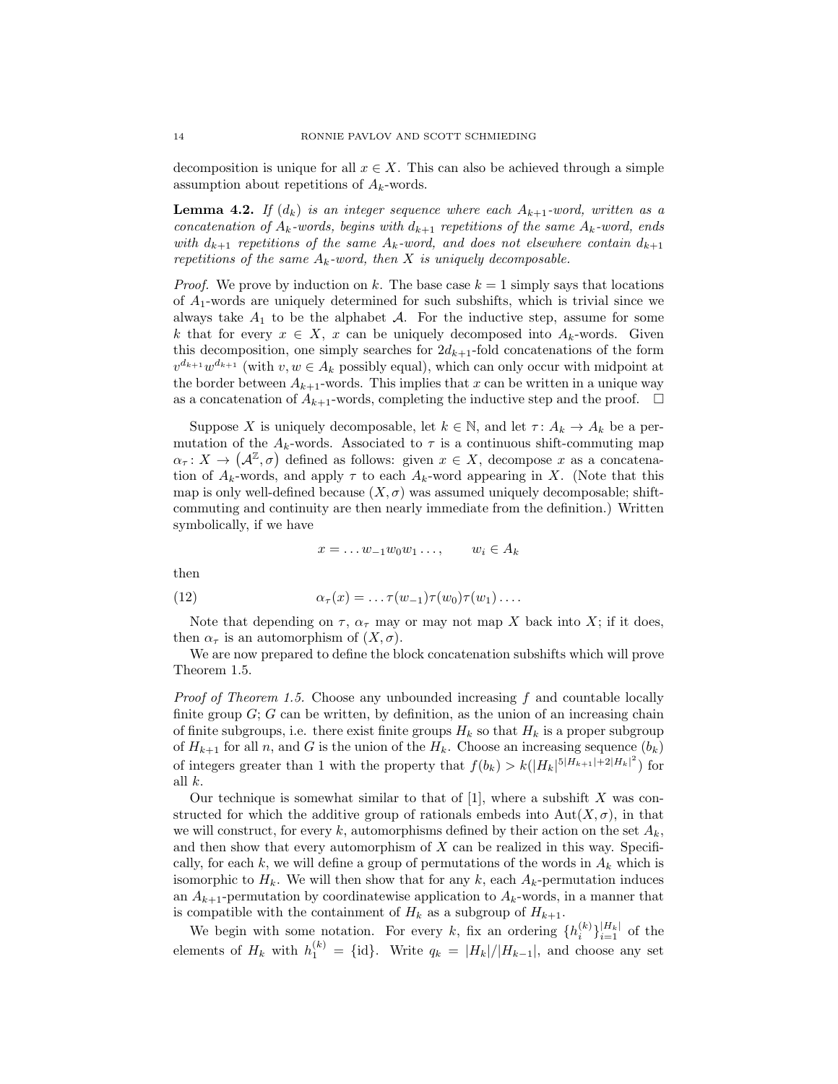decomposition is unique for all  $x \in X$ . This can also be achieved through a simple assumption about repetitions of  $A_k$ -words.

**Lemma 4.2.** If  $(d_k)$  is an integer sequence where each  $A_{k+1}$ -word, written as a concatenation of  $A_k$ -words, begins with  $d_{k+1}$  repetitions of the same  $A_k$ -word, ends with  $d_{k+1}$  repetitions of the same  $A_k$ -word, and does not elsewhere contain  $d_{k+1}$ repetitions of the same  $A_k$ -word, then X is uniquely decomposable.

*Proof.* We prove by induction on k. The base case  $k = 1$  simply says that locations of  $A_1$ -words are uniquely determined for such subshifts, which is trivial since we always take  $A_1$  to be the alphabet  $A$ . For the inductive step, assume for some k that for every  $x \in X$ , x can be uniquely decomposed into  $A_k$ -words. Given this decomposition, one simply searches for  $2d_{k+1}$ -fold concatenations of the form  $v^{d_{k+1}}w^{d_{k+1}}$  (with  $v, w \in A_k$  possibly equal), which can only occur with midpoint at the border between  $A_{k+1}$ -words. This implies that x can be written in a unique way as a concatenation of  $A_{k+1}$ -words, completing the inductive step and the proof.  $\Box$ 

Suppose X is uniquely decomposable, let  $k \in \mathbb{N}$ , and let  $\tau: A_k \to A_k$  be a permutation of the  $A_k$ -words. Associated to  $\tau$  is a continuous shift-commuting map  $\alpha_{\tau}: X \to (\mathcal{A}^{\mathbb{Z}}, \sigma)$  defined as follows: given  $x \in X$ , decompose x as a concatenation of  $A_k$ -words, and apply  $\tau$  to each  $A_k$ -word appearing in X. (Note that this map is only well-defined because  $(X, \sigma)$  was assumed uniquely decomposable; shiftcommuting and continuity are then nearly immediate from the definition.) Written symbolically, if we have

$$
x = \dots w_{-1} w_0 w_1 \dots, \qquad w_i \in A_k
$$

then

(12) 
$$
\alpha_{\tau}(x) = \ldots \tau(w_{-1}) \tau(w_0) \tau(w_1) \ldots
$$

Note that depending on  $\tau$ ,  $\alpha_{\tau}$  may or may not map X back into X; if it does, then  $\alpha_{\tau}$  is an automorphism of  $(X, \sigma)$ .

We are now prepared to define the block concatenation subshifts which will prove Theorem 1.5.

*Proof of Theorem 1.5.* Choose any unbounded increasing  $f$  and countable locally finite group  $G$ ;  $G$  can be written, by definition, as the union of an increasing chain of finite subgroups, i.e. there exist finite groups  $H_k$  so that  $H_k$  is a proper subgroup of  $H_{k+1}$  for all n, and G is the union of the  $H_k$ . Choose an increasing sequence  $(b_k)$ of integers greater than 1 with the property that  $f(b_k) > k(|H_k|^{5|H_{k+1}|+2|H_k|^2})$  for all k.

Our technique is somewhat similar to that of  $[1]$ , where a subshift X was constructed for which the additive group of rationals embeds into  $Aut(X, \sigma)$ , in that we will construct, for every k, automorphisms defined by their action on the set  $A_k$ , and then show that every automorphism of X can be realized in this way. Specifically, for each k, we will define a group of permutations of the words in  $A_k$  which is isomorphic to  $H_k$ . We will then show that for any k, each  $A_k$ -permutation induces an  $A_{k+1}$ -permutation by coordinatewise application to  $A_k$ -words, in a manner that is compatible with the containment of  $H_k$  as a subgroup of  $H_{k+1}$ .

We begin with some notation. For every k, fix an ordering  $\{h_i^{(k)}\}_{i=1}^{|H_k|}$  of the elements of  $H_k$  with  $h_1^{(k)} = \{\text{id}\}.$  Write  $q_k = |H_k|/|H_{k-1}|$ , and choose any set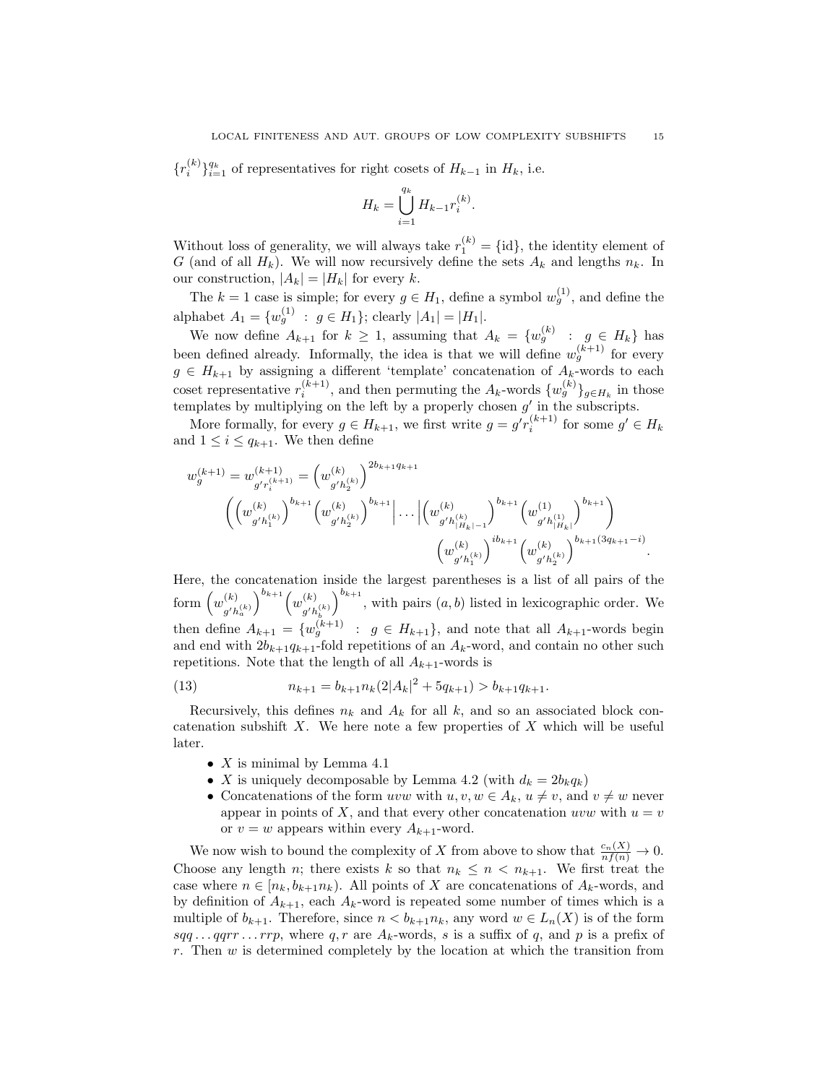${r_i^{(k)}}_{i=1}^{q_k}$  of representatives for right cosets of  $H_{k-1}$  in  $H_k$ , i.e.

$$
H_k = \bigcup_{i=1}^{q_k} H_{k-1} r_i^{(k)}.
$$

Without loss of generality, we will always take  $r_1^{(k)} = \{id\}$ , the identity element of G (and of all  $H_k$ ). We will now recursively define the sets  $A_k$  and lengths  $n_k$ . In our construction,  $|A_k| = |H_k|$  for every k.

The  $k = 1$  case is simple; for every  $g \in H_1$ , define a symbol  $w_g^{(1)}$ , and define the alphabet  $A_1 = \{w_g^{(1)} : g \in H_1\}$ ; clearly  $|A_1| = |H_1|$ .

We now define  $A_{k+1}$  for  $k \geq 1$ , assuming that  $A_k = \{w_g^{(k)} : g \in H_k\}$  has been defined already. Informally, the idea is that we will define  $w_g^{(k+1)}$  for every  $g \in H_{k+1}$  by assigning a different 'template' concatenation of  $A_k$ -words to each coset representative  $r_i^{(k+1)}$ , and then permuting the  $A_k$ -words  $\{w_g^{(k)}\}_{g \in H_k}$  in those templates by multiplying on the left by a properly chosen  $g'$  in the subscripts.

More formally, for every  $g \in H_{k+1}$ , we first write  $g = g' r_i^{(k+1)}$  for some  $g' \in H_k$ and  $1 \leq i \leq q_{k+1}$ . We then define

$$
w_g^{(k+1)} = w_{g'r_i^{(k+1)}}^{(k+1)} = \left(w_{g'h_2^{(k)}}^{(k)}\right)^{2b_{k+1}q_{k+1}}
$$

$$
\left(\left(w_{g'h_1^{(k)}}^{(k)}\right)^{b_{k+1}}\left(w_{g'h_2^{(k)}}^{(k)}\right)^{b_{k+1}}\left|\dots\left|\left(w_{g'h_{|H_k|-1}^{(k)}}^{(k)}\right)^{b_{k+1}}\left(w_{g'h_{|H_k|}}^{(1)}\right)\right|^{{b_{k+1}}} \right)
$$

$$
\left(w_{g'h_1^{(k)}}^{(k)}\right)^{ib_{k+1}}\left(w_{g'h_2^{(k)}}^{(k)}\right)^{b_{k+1}q_{k+1}-i}
$$

Here, the concatenation inside the largest parentheses is a list of all pairs of the form  $(w^{(k)}_u)$  $g' h_a^{(k)}$  $\bigg)^{b_{k+1}} \bigg(w^{(k)}\bigg)$  $g' h_b^{(k)}$  $\int_{0}^{b_{k+1}}$ , with pairs  $(a, b)$  listed in lexicographic order. We then define  $A_{k+1} = \{w_g^{(k+1)} : g \in H_{k+1}\}$ , and note that all  $A_{k+1}$ -words begin and end with  $2b_{k+1}q_{k+1}$ -fold repetitions of an  $A_k$ -word, and contain no other such repetitions. Note that the length of all  $A_{k+1}$ -words is

(13) 
$$
n_{k+1} = b_{k+1} n_k (2|A_k|^2 + 5q_{k+1}) > b_{k+1} q_{k+1}.
$$

Recursively, this defines  $n_k$  and  $A_k$  for all k, and so an associated block concatenation subshift  $X$ . We here note a few properties of  $X$  which will be useful later.

- $X$  is minimal by Lemma 4.1
- X is uniquely decomposable by Lemma 4.2 (with  $d_k = 2b_kq_k$ )
- Concatenations of the form uvw with  $u, v, w \in A_k$ ,  $u \neq v$ , and  $v \neq w$  never appear in points of X, and that every other concatenation uvw with  $u = v$ or  $v = w$  appears within every  $A_{k+1}$ -word.

We now wish to bound the complexity of X from above to show that  $\frac{c_n(X)}{nf(n)} \to 0$ . Choose any length n; there exists k so that  $n_k \leq n \leq n_{k+1}$ . We first treat the case where  $n \in [n_k, b_{k+1}n_k)$ . All points of X are concatenations of  $A_k$ -words, and by definition of  $A_{k+1}$ , each  $A_k$ -word is repeated some number of times which is a multiple of  $b_{k+1}$ . Therefore, since  $n < b_{k+1}n_k$ , any word  $w \in L_n(X)$  is of the form sqq... qqrr... rrp, where q, r are  $A_k$ -words, s is a suffix of q, and p is a prefix of r. Then  $w$  is determined completely by the location at which the transition from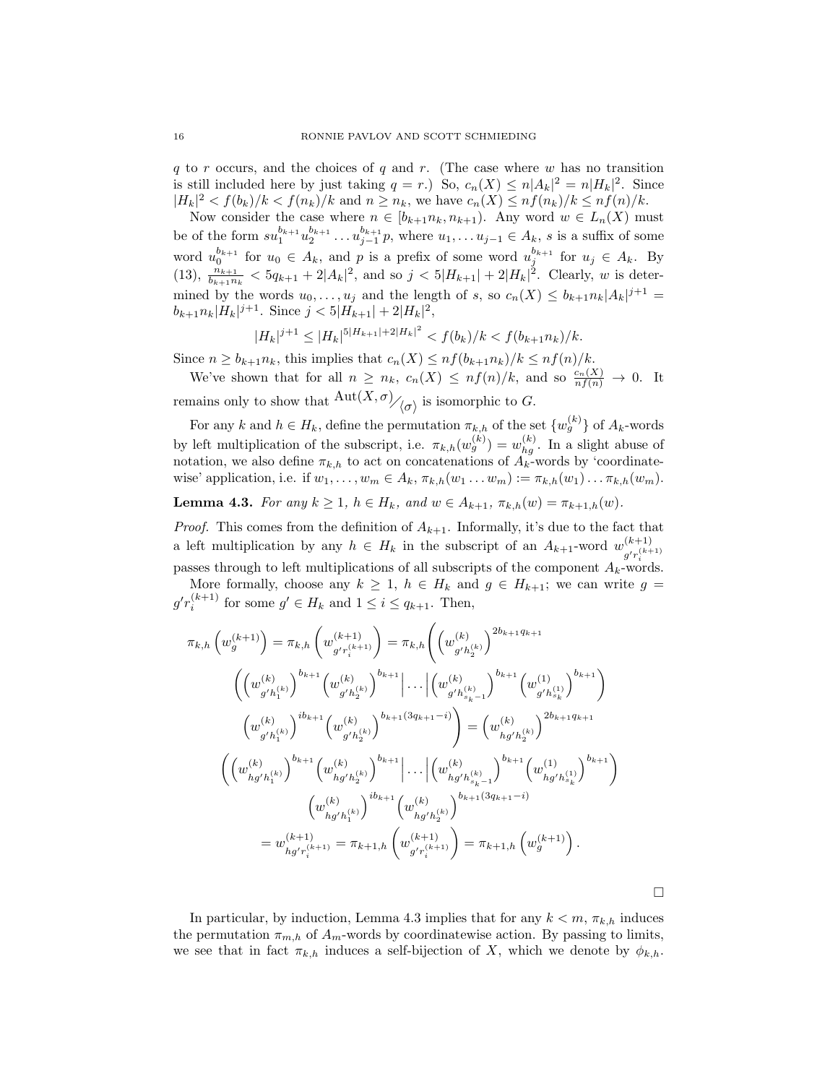q to r occurs, and the choices of q and r. (The case where  $w$  has no transition is still included here by just taking  $q = r$ .) So,  $c_n(X) \leq n |A_k|^2 = n |H_k|^2$ . Since  $|H_k|^2 < f(b_k)/k < f(n_k)/k$  and  $n \ge n_k$ , we have  $c_n(X) \le nf(n_k)/k \le nf(n)/k$ .

Now consider the case where  $n \in [b_{k+1}n_k, n_{k+1})$ . Any word  $w \in L_n(X)$  must be of the form  $su_1^{b_{k+1}}u_2^{b_{k+1}}\ldots u_{j-1}^{b_{k+1}}p$ , where  $u_1,\ldots u_{j-1}\in A_k$ , s is a suffix of some word  $u_0^{b_{k+1}}$  for  $u_0 \in A_k$ , and p is a prefix of some word  $u_j^{b_{k+1}}$  for  $u_j \in A_k$ . By (13),  $\frac{n_{k+1}}{b_{k+1}n_k} < 5q_{k+1} + 2|A_k|^2$ , and so  $j < 5|H_{k+1}| + 2|H_k|^2$ . Clearly, w is determined by the words  $u_0, \ldots, u_j$  and the length of s, so  $c_n(X) \leq b_{k+1} n_k |A_k|^{j+1} =$  $b_{k+1}n_k|H_k|^{j+1}$ . Since  $j < 5|H_{k+1}| + 2|H_k|^2$ ,

$$
|H_k|^{j+1} \le |H_k|^{5|H_{k+1}|+2|H_k|^2} < f(b_k)/k < f(b_{k+1}n_k)/k.
$$

Since  $n \ge b_{k+1}n_k$ , this implies that  $c_n(X) \le nf(b_{k+1}n_k)/k \le nf(n)/k$ .

We've shown that for all  $n \geq n_k$ ,  $c_n(X) \leq nf(n)/k$ , and so  $\frac{c_n(X)}{nf(n)} \to 0$ . It remains only to show that  $\frac{\mathrm{Aut}(X,\sigma)}{\langle \sigma \rangle}$  is isomorphic to G.

For any k and  $h \in H_k$ , define the permutation  $\pi_{k,h}$  of the set  $\{w_g^{(k)}\}$  of  $A_k$ -words by left multiplication of the subscript, i.e.  $\pi_{k,h}(w_g^{(k)}) = w_{hg}^{(k)}$ . In a slight abuse of notation, we also define  $\pi_{k,h}$  to act on concatenations of  $A_k$ -words by 'coordinatewise' application, i.e. if  $w_1, \ldots, w_m \in A_k$ ,  $\pi_{k,h}(w_1 \ldots w_m) := \pi_{k,h}(w_1) \ldots \pi_{k,h}(w_m)$ .

**Lemma 4.3.** For any  $k \ge 1$ ,  $h \in H_k$ , and  $w \in A_{k+1}$ ,  $\pi_{k,h}(w) = \pi_{k+1,h}(w)$ .

*Proof.* This comes from the definition of  $A_{k+1}$ . Informally, it's due to the fact that a left multiplication by any  $h \in H_k$  in the subscript of an  $A_{k+1}$ -word  $w_{\mathcal{A}_{k}(k+1)}^{(k+1)}$  $g'r_i^{(k+1)}$ passes through to left multiplications of all subscripts of the component  $A_k$ -words.

More formally, choose any  $k \geq 1$ ,  $h \in H_k$  and  $g \in H_{k+1}$ ; we can write  $g =$  $g'r_i^{(k+1)}$  for some  $g' \in H_k$  and  $1 \leq i \leq q_{k+1}$ . Then,

$$
\pi_{k,h} \left( w_g^{(k+1)} \right) = \pi_{k,h} \left( w_{g' r_i^{(k+1)}}^{(k+1)} \right) = \pi_{k,h} \left( \left( w_{g' h_2^{(k)}}^{(k)} \right)^{2b_{k+1}q_{k+1}} \left( w_{g' h_2^{(k)}}^{(k)} \right)^{b_{k+1}} \left( w_{g' h_2^{(k)}}^{(k)} \right)^{b_{k+1}} \left( w_{g' h_{s_k - 1}}^{(k)} \right)^{b_{k+1}} \left( w_{g' h_{s_k}}^{(k)} \right)^{b_{k+1}} \right)
$$
\n
$$
\left( w_{g' h_1^{(k)}}^{(k)} \right)^{ib_{k+1}} \left( w_{g' h_2^{(k)}}^{(k)} \right)^{b_{k+1}(3q_{k+1} - i)} = \left( w_{hg' h_2}^{(k)} \right)^{2b_{k+1}q_{k+1}}
$$
\n
$$
\left( \left( w_{hg' h_1^{(k)}}^{(k)} \right)^{b_{k+1}} \left( w_{hg' h_2^{(k)}}^{(k)} \right)^{b_{k+1}} \left| \dots \left| \left( w_{hg' h_{s_k - 1}}^{(k)} \right)^{b_{k+1}} \left( w_{hg' h_{s_k}}^{(1)} \right)^{b_{k+1}} \right) \right|
$$
\n
$$
\left( w_{hg' h_1^{(k)}}^{(k)} \right)^{ib_{k+1}} \left( w_{hg' h_2^{(k)}}^{(k)} \right)^{b_{k+1}(3q_{k+1} - i)}
$$
\n
$$
= w_{hg' r_i^{(k+1)}}^{(k+1)} = \pi_{k+1,h} \left( w_{g' r_i^{(k+1)}}^{(k+1)} \right) = \pi_{k+1,h} \left( w_{g'}^{(k+1)} \right).
$$

 $\Box$ 

In particular, by induction, Lemma 4.3 implies that for any  $k < m$ ,  $\pi_{k,h}$  induces the permutation  $\pi_{m,h}$  of  $A_m$ -words by coordinatewise action. By passing to limits, we see that in fact  $\pi_{k,h}$  induces a self-bijection of X, which we denote by  $\phi_{k,h}$ .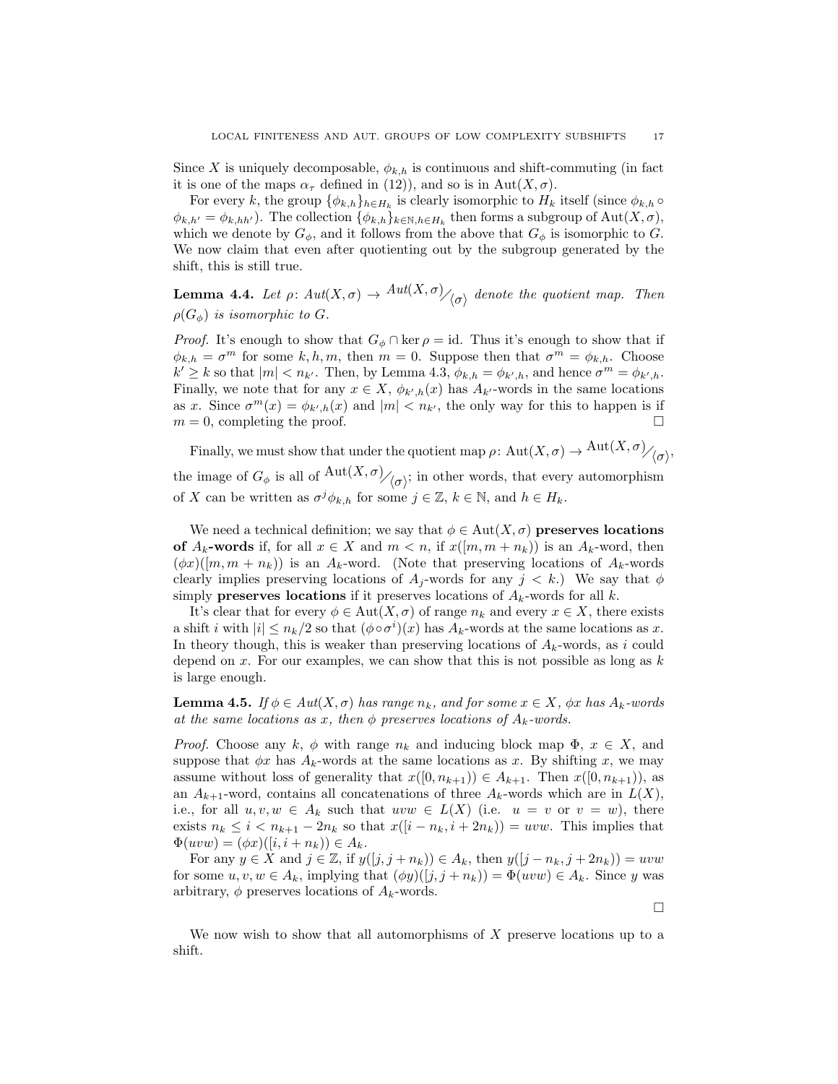Since X is uniquely decomposable,  $\phi_{k,h}$  is continuous and shift-commuting (in fact it is one of the maps  $\alpha_{\tau}$  defined in (12)), and so is in Aut $(X, \sigma)$ .

For every k, the group  $\{\phi_{k,h}\}_{h\in H_k}$  is clearly isomorphic to  $H_k$  itself (since  $\phi_{k,h} \circ$  $\phi_{k,h'} = \phi_{k,hh'}$ ). The collection  $\{\phi_{k,h}\}_{k \in \mathbb{N}, h \in H_k}$  then forms a subgroup of  $\text{Aut}(X,\sigma)$ , which we denote by  $G_{\phi}$ , and it follows from the above that  $G_{\phi}$  is isomorphic to G. We now claim that even after quotienting out by the subgroup generated by the shift, this is still true.

**Lemma 4.4.** Let  $\rho: Aut(X, \sigma) \to Aut(X, \sigma)/_{\langle \sigma \rangle}$  denote the quotient map. Then  $\rho(G_{\phi})$  is isomorphic to G.

*Proof.* It's enough to show that  $G_{\phi} \cap \text{ker } \rho = id$ . Thus it's enough to show that if  $\phi_{k,h} = \sigma^m$  for some k, h, m, then  $m = 0$ . Suppose then that  $\sigma^m = \phi_{k,h}$ . Choose  $k' \geq k$  so that  $|m| < n_{k'}$ . Then, by Lemma 4.3,  $\phi_{k,h} = \phi_{k',h}$ , and hence  $\sigma^m = \phi_{k',h}$ . Finally, we note that for any  $x \in X$ ,  $\phi_{k',h}(x)$  has  $A_{k'}$ -words in the same locations as x. Since  $\sigma^{m}(x) = \phi_{k',h}(x)$  and  $|m| < n_{k'}$ , the only way for this to happen is if  $m = 0$ , completing the proof.

Finally, we must show that under the quotient map  $\rho\colon {\rm Aut}(X,\sigma)\to {\rm Aut}(X,\sigma)/\langle\sigma\rangle,$ the image of  $G_{\phi}$  is all of  $\frac{\text{Aut}(X,\sigma)}{\langle \sigma \rangle}$ ; in other words, that every automorphism of X can be written as  $\sigma^j \phi_{k,h}$  for some  $j \in \mathbb{Z}$ ,  $k \in \mathbb{N}$ , and  $h \in H_k$ .

We need a technical definition; we say that  $\phi \in Aut(X, \sigma)$  preserves locations of  $A_k$ -words if, for all  $x \in X$  and  $m < n$ , if  $x([m, m + n_k))$  is an  $A_k$ -word, then  $(\phi x)([m, m + n_k))$  is an  $A_k$ -word. (Note that preserving locations of  $A_k$ -words clearly implies preserving locations of  $A_j$ -words for any  $j < k$ .) We say that  $\phi$ simply **preserves locations** if it preserves locations of  $A_k$ -words for all k.

It's clear that for every  $\phi \in Aut(X, \sigma)$  of range  $n_k$  and every  $x \in X$ , there exists a shift i with  $|i| \leq n_k/2$  so that  $(\phi \circ \sigma^i)(x)$  has  $A_k$ -words at the same locations as x. In theory though, this is weaker than preserving locations of  $A_k$ -words, as i could depend on x. For our examples, we can show that this is not possible as long as  $k$ is large enough.

**Lemma 4.5.** If  $\phi \in Aut(X, \sigma)$  has range  $n_k$ , and for some  $x \in X$ ,  $\phi x$  has  $A_k$ -words at the same locations as x, then  $\phi$  preserves locations of  $A_k$ -words.

*Proof.* Choose any k,  $\phi$  with range  $n_k$  and inducing block map  $\Phi$ ,  $x \in X$ , and suppose that  $\phi x$  has  $A_k$ -words at the same locations as x. By shifting x, we may assume without loss of generality that  $x([0, n_{k+1})) \in A_{k+1}$ . Then  $x([0, n_{k+1})),$  as an  $A_{k+1}$ -word, contains all concatenations of three  $A_k$ -words which are in  $L(X)$ , i.e., for all  $u, v, w \in A_k$  such that  $uvw \in L(X)$  (i.e.  $u = v$  or  $v = w$ ), there exists  $n_k \leq i < n_{k+1} - 2n_k$  so that  $x([i - n_k, i + 2n_k)) = uvw$ . This implies that  $\Phi(uvw) = (\phi x)([i, i + n_k)) \in A_k.$ 

For any  $y \in X$  and  $j \in \mathbb{Z}$ , if  $y([j, j + n_k)) \in A_k$ , then  $y([j - n_k, j + 2n_k)) = uvw$ for some  $u, v, w \in A_k$ , implying that  $(\phi y)([j, j + n_k)) = \Phi(uvw) \in A_k$ . Since y was arbitrary,  $\phi$  preserves locations of  $A_k$ -words.

 $\Box$ 

We now wish to show that all automorphisms of  $X$  preserve locations up to a shift.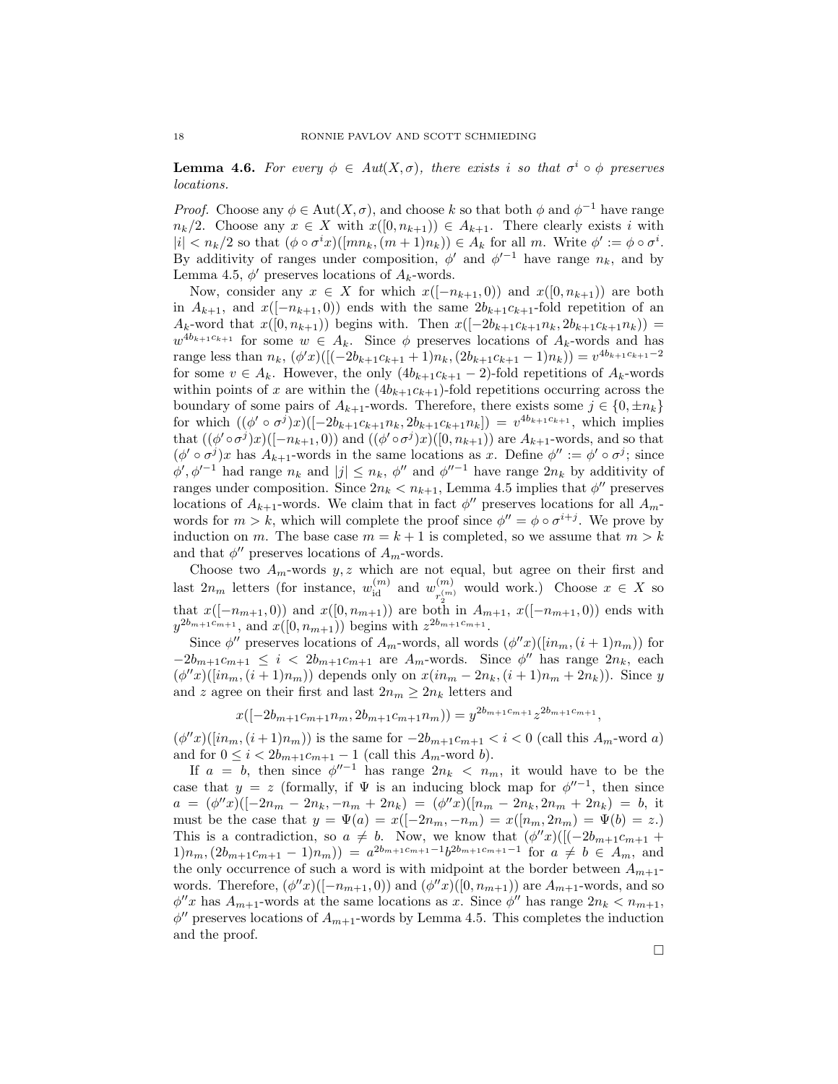**Lemma 4.6.** For every  $\phi \in Aut(X, \sigma)$ , there exists i so that  $\sigma^i \circ \phi$  preserves locations.

*Proof.* Choose any  $\phi \in \text{Aut}(X, \sigma)$ , and choose k so that both  $\phi$  and  $\phi^{-1}$  have range  $n_k/2$ . Choose any  $x \in X$  with  $x([0, n_{k+1})) \in A_{k+1}$ . There clearly exists i with  $|i| < n_k/2$  so that  $(\phi \circ \sigma^i x)([mn_k, (m+1)n_k)) \in A_k$  for all m. Write  $\phi' := \phi \circ \sigma^i$ . By additivity of ranges under composition,  $\phi'$  and  $\phi'^{-1}$  have range  $n_k$ , and by Lemma 4.5,  $\phi'$  preserves locations of  $A_k$ -words.

Now, consider any  $x \in X$  for which  $x([-n_{k+1}, 0))$  and  $x([0, n_{k+1}))$  are both in  $A_{k+1}$ , and  $x([-n_{k+1}, 0))$  ends with the same  $2b_{k+1}c_{k+1}$ -fold repetition of an  $A_k$ -word that  $x([0, n_{k+1}))$  begins with. Then  $x([-2b_{k+1}c_{k+1}n_k, 2b_{k+1}c_{k+1}n_k))$  =  $w^{4b_{k+1}c_{k+1}}$  for some  $w \in A_k$ . Since  $\phi$  preserves locations of  $A_k$ -words and has range less than  $n_k$ ,  $(\phi'x)([(-2b_{k+1}c_{k+1}+1)n_k, (2b_{k+1}c_{k+1}-1)n_k)) = v^{4b_{k+1}c_{k+1}-2}$ for some  $v \in A_k$ . However, the only  $(4b_{k+1}c_{k+1} - 2)$ -fold repetitions of  $A_k$ -words within points of x are within the  $(4b_{k+1}c_{k+1})$ -fold repetitions occurring across the boundary of some pairs of  $A_{k+1}$ -words. Therefore, there exists some  $j \in \{0, \pm n_k\}$ for which  $((\phi' \circ \sigma^j)x)([-2b_{k+1}c_{k+1}n_k, 2b_{k+1}c_{k+1}n_k]) = v^{4b_{k+1}c_{k+1}},$  which implies that  $((\phi' \circ \sigma^j)x)([-n_{k+1},0))$  and  $((\phi' \circ \sigma^j)x)([0,n_{k+1}))$  are  $A_{k+1}$ -words, and so that  $(\phi' \circ \sigma^j)x$  has  $A_{k+1}$ -words in the same locations as x. Define  $\phi'' := \phi' \circ \sigma^j$ ; since  $\phi', \phi'^{-1}$  had range  $n_k$  and  $|j| \leq n_k$ ,  $\phi''$  and  $\phi''^{-1}$  have range  $2n_k$  by additivity of ranges under composition. Since  $2n_k < n_{k+1}$ , Lemma 4.5 implies that  $\phi''$  preserves locations of  $A_{k+1}$ -words. We claim that in fact  $\phi''$  preserves locations for all  $A_{m}$ words for  $m > k$ , which will complete the proof since  $\phi'' = \phi \circ \sigma^{i+j}$ . We prove by induction on m. The base case  $m = k + 1$  is completed, so we assume that  $m > k$ and that  $\phi''$  preserves locations of  $A_m$ -words.

Choose two  $A_m$ -words  $y, z$  which are not equal, but agree on their first and last  $2n_m$  letters (for instance,  $w_{id}^{(m)}$  and  $w_{r^{(m)}}^{(m)}$  $r_2^{(m)}$  would work.) Choose  $x \in X$  so that  $x([-n_{m+1}, 0))$  and  $x([0, n_{m+1}))$  are both in  $A_{m+1}, x([-n_{m+1}, 0))$  ends with  $y^{2b_{m+1}c_{m+1}},$  and  $x([0, n_{m+1}))$  begins with  $z^{2b_{m+1}c_{m+1}}$ .

Since  $\phi''$  preserves locations of  $A_m$ -words, all words  $(\phi''x)([in_m, (i+1)n_m))$  for  $-2b_{m+1}c_{m+1} \leq i < 2b_{m+1}c_{m+1}$  are  $A_m$ -words. Since  $\phi''$  has range  $2n_k$ , each  $(\phi''x)([in_m, (i+1)n_m))$  depends only on  $x(in_m-2n_k, (i+1)n_m+2n_k))$ . Since y and z agree on their first and last  $2n_m \geq 2n_k$  letters and

$$
x([-2b_{m+1}c_{m+1}n_m, 2b_{m+1}c_{m+1}n_m)] = y^{2b_{m+1}c_{m+1}}z^{2b_{m+1}c_{m+1}},
$$

 $(\phi''x)([in_m, (i+1)n_m))$  is the same for  $-2b_{m+1}c_{m+1} < i < 0$  (call this  $A_m$ -word a) and for  $0 \leq i < 2b_{m+1}c_{m+1} - 1$  (call this  $A_m$ -word b).

If  $a = b$ , then since  $\phi''^{-1}$  has range  $2n_k < n_m$ , it would have to be the case that  $y = z$  (formally, if  $\Psi$  is an inducing block map for  $\phi''^{-1}$ , then since  $a = (\phi''x)([-2n_m - 2n_k, -n_m + 2n_k) = (\phi''x)([n_m - 2n_k, 2n_m + 2n_k) = b$ , it must be the case that  $y = \Psi(a) = x([-2n_m, -n_m) = x([n_m, 2n_m) = \Psi(b) = z.)$ This is a contradiction, so  $a \neq b$ . Now, we know that  $(\phi''x)([(-2b_{m+1}c_{m+1} +$  $1)n_m$ ,  $(2b_{m+1}c_{m+1}-1)n_m$ ) =  $a^{2b_{m+1}c_{m+1}-1}b^{2b_{m+1}c_{m+1}-1}$  for  $a \neq b \in A_m$ , and the only occurrence of such a word is with midpoint at the border between  $A_{m+1}$ words. Therefore,  $(\phi''x)([-n_{m+1},0))$  and  $(\phi''x)([0,n_{m+1}))$  are  $A_{m+1}$ -words, and so  $\phi''x$  has  $A_{m+1}$ -words at the same locations as x. Since  $\phi''$  has range  $2n_k < n_{m+1}$ ,  $\phi''$  preserves locations of  $A_{m+1}$ -words by Lemma 4.5. This completes the induction and the proof.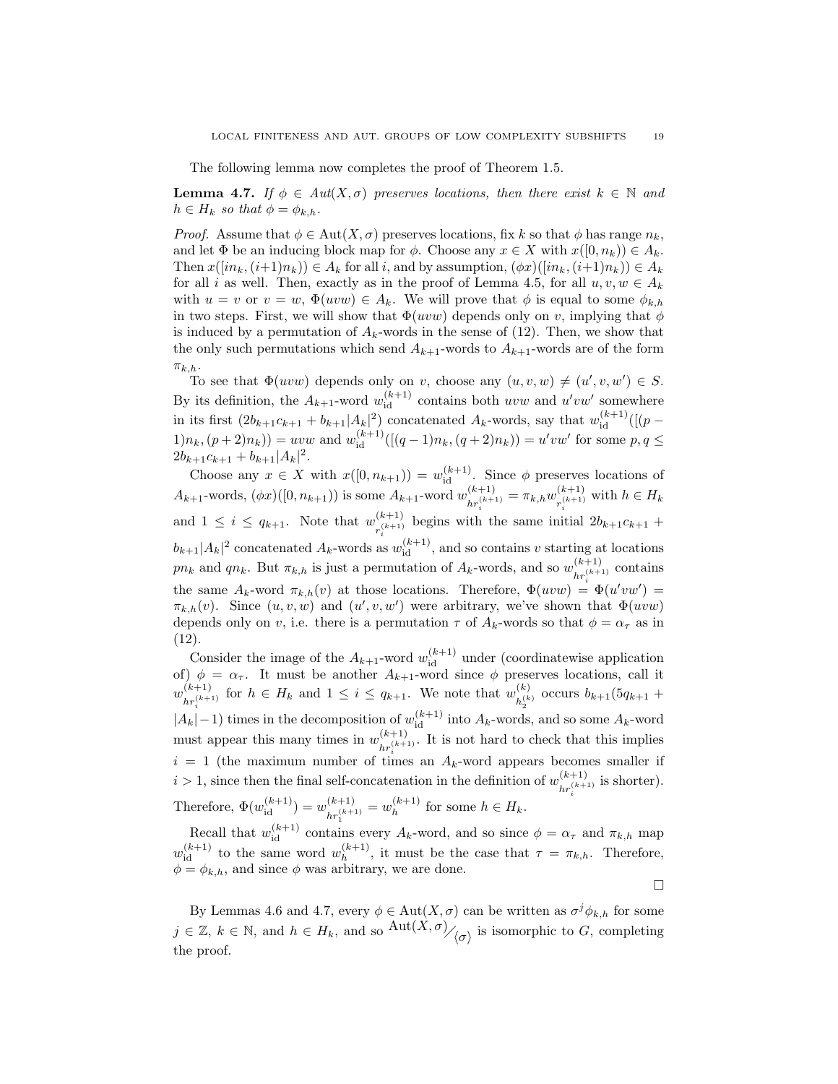The following lemma now completes the proof of Theorem 1.5.

**Lemma 4.7.** If  $\phi \in Aut(X, \sigma)$  preserves locations, then there exist  $k \in \mathbb{N}$  and  $h \in H_k$  so that  $\phi = \phi_{k,h}$ .

*Proof.* Assume that  $\phi \in \text{Aut}(X, \sigma)$  preserves locations, fix k so that  $\phi$  has range  $n_k$ , and let  $\Phi$  be an inducing block map for  $\phi$ . Choose any  $x \in X$  with  $x([0, n_k)) \in A_k$ . Then  $x([in_k,(i+1)n_k)) \in A_k$  for all i, and by assumption,  $(\phi x)([in_k,(i+1)n_k)) \in A_k$ for all i as well. Then, exactly as in the proof of Lemma 4.5, for all  $u, v, w \in A_k$ with  $u = v$  or  $v = w$ ,  $\Phi(uvw) \in A_k$ . We will prove that  $\phi$  is equal to some  $\phi_{k,h}$ in two steps. First, we will show that  $\Phi(uvw)$  depends only on v, implying that  $\phi$ is induced by a permutation of  $A_k$ -words in the sense of (12). Then, we show that the only such permutations which send  $A_{k+1}$ -words to  $A_{k+1}$ -words are of the form  $\pi_{k,h}$ .

To see that  $\Phi(uvw)$  depends only on v, choose any  $(u, v, w) \neq (u', v, w') \in S$ . By its definition, the  $A_{k+1}$ -word  $w_{id}^{(k+1)}$  contains both uvw and  $u'vw'$  somewhere in its first  $(2b_{k+1}c_{k+1} + b_{k+1}|A_k|^2)$  concatenated  $A_k$ -words, say that  $w_{id}^{(k+1)}([p (1) n_k, (p+2) n_k) = uvw$  and  $w_{id}^{(k+1)}([(q-1)n_k, (q+2)n_k)) = u'vw'$  for some  $p, q \leq$  $2b_{k+1}c_{k+1} + b_{k+1}|A_k|^2.$ 

Choose any  $x \in X$  with  $x([0, n_{k+1})) = w_{id}^{(k+1)}$ . Since  $\phi$  preserves locations of  $A_{k+1}$ -words,  $(\phi x)([0, n_{k+1}))$  is some  $A_{k+1}$ -word  $w_{i,(k+1)}^{(k+1)}$  $\frac{(k+1)}{hr_i^{(k+1)}} = \pi_{k,h} w_{r_i^{(k+1)}}^{(k+1)}$ and  $1 \leq i \leq q_{k+1}$ . Note that  $w_{(k+1)}^{(k+1)}$  begins with the same ini  $r_i^{(k+1)}$  with  $h \in H_k$  $r_i^{(k+1)}$  begins with the same initial  $2b_{k+1}c_{k+1}$  +  $(b_{k+1}|A_k|^2)$  concatenated  $A_k$ -words as  $w_{id}^{(k+1)}$ , and so contains v starting at locations pn<sub>k</sub> and qn<sub>k</sub>. But  $\pi_{k,h}$  is just a permutation of  $A_k$ -words, and so  $w_{k,(k+1)}^{(k+1)}$  $\frac{f^{(k+1)}}{h r_i^{(k+1)}}$  contains the same  $A_k$ -word  $\pi_{k,h}(v)$  at those locations. Therefore,  $\Phi(uvw) = \Phi(u'vw')$  $\pi_{k,h}(v)$ . Since  $(u, v, w)$  and  $(u', v, w')$  were arbitrary, we've shown that  $\Phi(uvw)$ depends only on v, i.e. there is a permutation  $\tau$  of  $A_k$ -words so that  $\phi = \alpha_{\tau}$  as in (12).

Consider the image of the  $A_{k+1}$ -word  $w_{id}^{(k+1)}$  under (coordinatewise application of)  $\phi = \alpha_{\tau}$ . It must be another  $A_{k+1}$ -word since  $\phi$  preserves locations, call it  $w_{i(k+1)}^{(k+1)}$  $\binom{(k+1)}{hr_i^{(k+1)}}$  for  $h \in H_k$  and  $1 \leq i \leq q_{k+1}$ . We note that  $w_{h_2^{(k)}}^{(k)}$  $|A_k|$  – 1) times in the decomposition of  $w_{id}^{(k+1)}$  into  $A_k$ -words, and so some  $A_k$ -word  $b_{h_2}^{(k)}$  occurs  $b_{k+1}(5q_{k+1} +$ must appear this many times in  $w_{i(k+1)}^{(k+1)}$  $\frac{(k+1)}{hr_i^{(k+1)}}$ . It is not hard to check that this implies  $i = 1$  (the maximum number of times an  $A_k$ -word appears becomes smaller if  $i > 1$ , since then the final self-concatenation in the definition of  $w_i^{(k+1)}$  $\frac{K+1}{hr_i^{(k+1)}}$  is shorter). i Therefore,  $\Phi(w_{id}^{(k+1)}) = w_{hr^{(k+1)}}^{(k+1)}$  $\binom{(k+1)}{hr_1^{(k+1)}} = w_h^{(k+1)}$  $h^{(k+1)}$  for some  $h \in H_k$ .

Recall that  $w_{id}^{(k+1)}$  contains every  $A_k$ -word, and so since  $\phi = \alpha_{\tau}$  and  $\pi_{k,h}$  map  $w_{\text{id}}^{(k+1)}$  to the same word  $w_h^{(k+1)}$  $\binom{k+1}{h}$ , it must be the case that  $\tau = \pi_{k,h}$ . Therefore,  $\phi = \phi_{k,h}$ , and since  $\phi$  was arbitrary, we are done.

 $\Box$ 

By Lemmas 4.6 and 4.7, every  $\phi \in \text{Aut}(X, \sigma)$  can be written as  $\sigma^j \phi_{k,h}$  for some  $j \in \mathbb{Z}, k \in \mathbb{N}$ , and  $h \in H_k$ , and so  $\text{Aut}(X, \sigma)$ <sub> $\big\langle \sigma \big\rangle$ </sub> is isomorphic to G, completing the proof.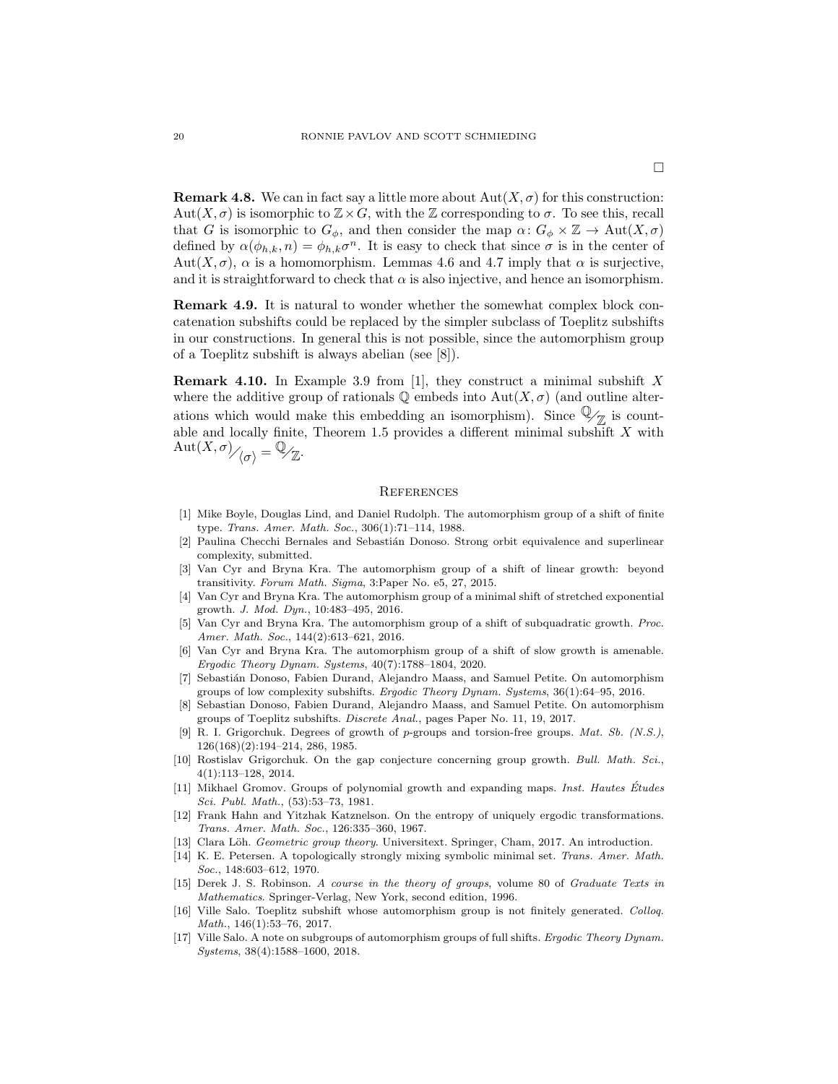**Remark 4.8.** We can in fact say a little more about  $\text{Aut}(X, \sigma)$  for this construction:  $\mathrm{Aut}(X,\sigma)$  is isomorphic to  $\mathbb{Z}\times G$ , with the  $\mathbb Z$  corresponding to  $\sigma$ . To see this, recall that G is isomorphic to  $G_{\phi}$ , and then consider the map  $\alpha: G_{\phi} \times \mathbb{Z} \to \text{Aut}(X, \sigma)$ defined by  $\alpha(\phi_{h,k}, n) = \phi_{h,k} \sigma^n$ . It is easy to check that since  $\sigma$  is in the center of Aut $(X, \sigma)$ ,  $\alpha$  is a homomorphism. Lemmas 4.6 and 4.7 imply that  $\alpha$  is surjective, and it is straightforward to check that  $\alpha$  is also injective, and hence an isomorphism.

Remark 4.9. It is natural to wonder whether the somewhat complex block concatenation subshifts could be replaced by the simpler subclass of Toeplitz subshifts in our constructions. In general this is not possible, since the automorphism group of a Toeplitz subshift is always abelian (see [8]).

**Remark 4.10.** In Example 3.9 from [1], they construct a minimal subshift X where the additive group of rationals  $\mathbb Q$  embeds into  $\mathrm{Aut}(X,\sigma)$  (and outline alterations which would make this embedding an isomorphism). Since  $\mathbb{Q}_{\mathbb{Z}}$  is countable and locally finite, Theorem 1.5 provides a different minimal subshift  $X$  with  $\mathrm{Aut}(X,\sigma)_{\bigg/\bigg\langle \sigma \bigg\rangle} = \mathbb{Q}_{\mathbb{Z}}.$ 

#### **REFERENCES**

- [1] Mike Boyle, Douglas Lind, and Daniel Rudolph. The automorphism group of a shift of finite type. Trans. Amer. Math. Soc., 306(1):71–114, 1988.
- [2] Paulina Checchi Bernales and Sebastián Donoso. Strong orbit equivalence and superlinear complexity, submitted.
- [3] Van Cyr and Bryna Kra. The automorphism group of a shift of linear growth: beyond transitivity. Forum Math. Sigma, 3:Paper No. e5, 27, 2015.
- [4] Van Cyr and Bryna Kra. The automorphism group of a minimal shift of stretched exponential growth. J. Mod. Dyn., 10:483–495, 2016.
- [5] Van Cyr and Bryna Kra. The automorphism group of a shift of subquadratic growth. Proc. Amer. Math. Soc., 144(2):613–621, 2016.
- [6] Van Cyr and Bryna Kra. The automorphism group of a shift of slow growth is amenable. Ergodic Theory Dynam. Systems, 40(7):1788–1804, 2020.
- [7] Sebasti´an Donoso, Fabien Durand, Alejandro Maass, and Samuel Petite. On automorphism groups of low complexity subshifts. Ergodic Theory Dynam. Systems, 36(1):64–95, 2016.
- [8] Sebastian Donoso, Fabien Durand, Alejandro Maass, and Samuel Petite. On automorphism groups of Toeplitz subshifts. Discrete Anal., pages Paper No. 11, 19, 2017.
- [9] R. I. Grigorchuk. Degrees of growth of p-groups and torsion-free groups. Mat. Sb. (N.S.), 126(168)(2):194–214, 286, 1985.
- [10] Rostislav Grigorchuk. On the gap conjecture concerning group growth. Bull. Math. Sci., 4(1):113–128, 2014.
- [11] Mikhael Gromov. Groups of polynomial growth and expanding maps. Inst. Hautes Études Sci. Publ. Math., (53):53–73, 1981.
- [12] Frank Hahn and Yitzhak Katznelson. On the entropy of uniquely ergodic transformations. Trans. Amer. Math. Soc., 126:335–360, 1967.
- [13] Clara Löh. Geometric group theory. Universitext. Springer, Cham, 2017. An introduction.
- [14] K. E. Petersen. A topologically strongly mixing symbolic minimal set. Trans. Amer. Math. Soc., 148:603–612, 1970.
- [15] Derek J. S. Robinson. A course in the theory of groups, volume 80 of Graduate Texts in Mathematics. Springer-Verlag, New York, second edition, 1996.
- [16] Ville Salo. Toeplitz subshift whose automorphism group is not finitely generated. Colloq. Math., 146(1):53–76, 2017.
- [17] Ville Salo. A note on subgroups of automorphism groups of full shifts. Ergodic Theory Dynam. Systems, 38(4):1588–1600, 2018.